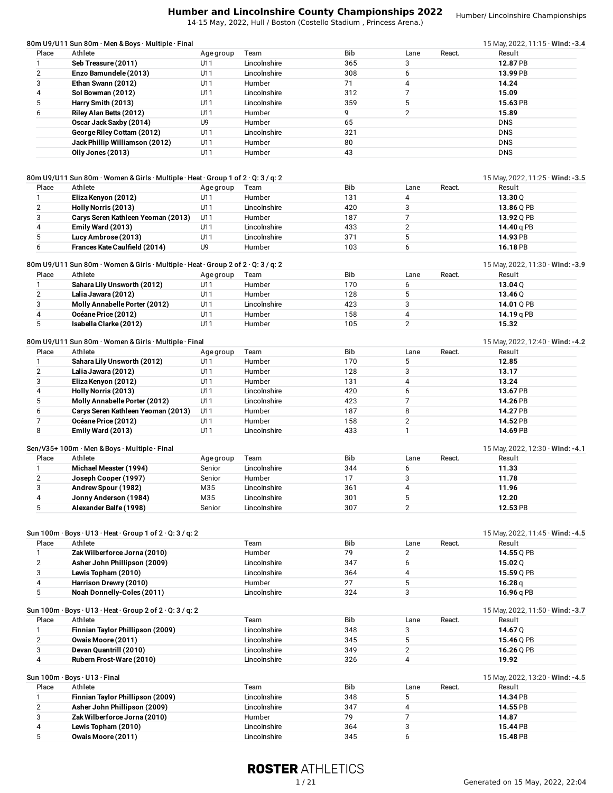14-15 May, 2022, Hull / Boston (Costello Stadium , Princess Arena.)

Humber/ Lincolnshire Championships

|       | 80m U9/U11 Sun 80m · Men & Boys · Multiple · Final |           |              |            |      |        | 15 May, 2022, 11:15 $\cdot$ Wind: -3.4 |
|-------|----------------------------------------------------|-----------|--------------|------------|------|--------|----------------------------------------|
| Place | Athlete                                            | Age group | Team         | <b>Bib</b> | Lane | React. | Result                                 |
|       | Seb Treasure (2011)                                | U11       | Lincolnshire | 365        |      |        | 12.87 PB                               |
|       | Enzo Bamundele (2013)                              | U11       | Lincolnshire | 308        | 6    |        | 13.99 PB                               |
|       | Ethan Swann (2012)                                 | U11       | Humber       |            | 4    |        | 14.24                                  |
|       | Sol Bowman (2012)                                  | U11       | Lincolnshire | 312        |      |        | 15.09                                  |
|       | Harry Smith (2013)                                 | U11       | Lincolnshire | 359        |      |        | 15.63 PB                               |
|       | Riley Alan Betts (2012)                            | U11       | Humber       | 9          | C    |        | 15.89                                  |
|       | Oscar Jack Saxby (2014)                            | U9        | Humber       | 65         |      |        | <b>DNS</b>                             |
|       | George Riley Cottam (2012)                         | U11       | Lincolnshire | 321        |      |        | <b>DNS</b>                             |
|       | Jack Phillip Williamson (2012)                     | U11       | Humber       | 80         |      |        | <b>DNS</b>                             |
|       | Olly Jones (2013)                                  | U11       | Humber       | 43         |      |        | <b>DNS</b>                             |
|       |                                                    |           |              |            |      |        |                                        |

# 80m U9/U11 Sun 80m · Women & Girls · Multiple · Heat · Group 1 of 2 · Q: 3 / q: 2 15 May, 2022, 11:25 · **Wind: -3.5**

| Place | Athlete                            | Age group      | Team         | <b>Bib</b> | Lane | React. | Result     |
|-------|------------------------------------|----------------|--------------|------------|------|--------|------------|
|       | Eliza Kenyon (2012)                | U11            | Humber       | 131        |      |        | 13.300     |
|       | Holly Norris (2013)                | U11            | Lincolnshire | 420        |      |        | 13.86 O PB |
|       | Carys Seren Kathleen Yeoman (2013) | U11            | Humber       | 187        |      |        | 13.92 0 PB |
|       | Emily Ward (2013)                  | U11            | Lincolnshire | 433        |      |        | 14.40 a PB |
|       | Lucy Ambrose (2013)                | U1 1           | Lincolnshire | 371        |      |        | 14.93 PB   |
|       | Frances Kate Caulfield (2014)      | U <sub>9</sub> | Humber       | 103        |      |        | 16.18 PB   |

#### 80m U9/U11 Sun 80m · Women &Girls · Multiple · Heat · Group 2 of 2 · Q: 3 / q: 2 15 May, 2022, 11:30 · **Wind: -3.9**

|        |                               | .               |              |            |      |        |            |
|--------|-------------------------------|-----------------|--------------|------------|------|--------|------------|
| Place  | Athlete                       | Age group       | Team         | <b>Bib</b> | Lane | React. | Result     |
|        | Sahara Lily Unsworth (2012)   | U11             | Humber       | 170        |      |        | 13.04 Q    |
| C<br>∠ | Lalia Jawara (2012)           | U1 $7$          | Humber       | 128        |      |        | 13.460     |
| 3      | Molly Annabelle Porter (2012) | U1 <sup>1</sup> | Lincolnshire | 423        |      |        | 14.01 O PB |
| 4      | Océane Price (2012)           | 111             | Humber       | 158        |      |        | 14.19 a PB |
| 5      | Isabella Clarke (2012)        |                 | Humber       | 105        |      |        | 15.32      |

# 80m U9/U11 Sun 80m · Women &Girls · Multiple · Final 15 May, 2022, 12:40 · **Wind: -4.2**

| Place | Athlete                            | Age group | Team         | Bib | Lane | React. | Result   |
|-------|------------------------------------|-----------|--------------|-----|------|--------|----------|
|       | Sahara Lily Unsworth (2012)        | U11       | Humber       | 170 |      |        | 12.85    |
| 2     | Lalia Jawara (2012)                | U11       | Humber       | 128 |      |        | 13.17    |
| 3     | Eliza Kenyon (2012)                | U11       | Humber       | 131 |      |        | 13.24    |
| 4     | Holly Norris (2013)                | U11       | Lincolnshire | 420 |      |        | 13.67 PB |
| 5     | Molly Annabelle Porter (2012)      | U11       | Lincolnshire | 423 |      |        | 14.26 PB |
| 6     | Carys Seren Kathleen Yeoman (2013) | U11       | Humber       | 187 | 8    |        | 14.27 PB |
|       | Océane Price (2012)                | U11       | Humber       | 158 |      |        | 14.52 PB |
| 8     | Emily Ward (2013)                  | U11       | Lincolnshire | 433 |      |        | 14.69 PB |

#### Sen/V35+ 100m · Men & Boys · Multiple · Final 15 May, 2022, 12:30 · **Wind: -4.1**

|       |                        |           |              |            |      |        | 19       |  |
|-------|------------------------|-----------|--------------|------------|------|--------|----------|--|
| Place | Athlete                | Age group | Team         | <b>Bib</b> | Lane | React. | Result   |  |
|       | Michael Measter (1994) | Senior    | Lincolnshire | 344        |      |        | 11.33    |  |
|       | Joseph Cooper (1997)   | Senior    | Humber       |            |      |        | 11.78    |  |
|       | Andrew Spour (1982)    | M35       | Lincolnshire | 361        |      |        | 11.96    |  |
|       | Jonny Anderson (1984)  | M35       | Lincolnshire | 301        |      |        | 12.20    |  |
|       | Alexander Balfe (1998) | Senior    | Lincolnshire | 307        |      |        | 12.53 PB |  |

|       | Sun 100m $\cdot$ Boys $\cdot$ U13 $\cdot$ Heat $\cdot$ Group 1 of 2 $\cdot$ Q: 3 / q: 2 |              |            |      |        | 15 May, 2022, 11:45 · Wind: -4.5       |
|-------|-----------------------------------------------------------------------------------------|--------------|------------|------|--------|----------------------------------------|
| Place | Athlete                                                                                 | Team         | <b>Bib</b> | Lane | React. | Result                                 |
|       | Zak Wilberforce Jorna (2010)                                                            | Humber       | 79         |      |        | 14.55 Q PB                             |
|       | Asher John Phillipson (2009)                                                            | Lincolnshire | 347        | 6    |        | 15.02Q                                 |
|       | Lewis Topham (2010)                                                                     | Lincolnshire | 364        | 4    |        | 15.59 Q PB                             |
|       | Harrison Drewry (2010)                                                                  | Humber       | 27         | 5    |        | 16.28 <sub>q</sub>                     |
| 5     | Noah Donnelly-Coles (2011)                                                              | Lincolnshire | 324        | 3    |        | 16.96 g PB                             |
|       | Sun 100m $\cdot$ Boys $\cdot$ U13 $\cdot$ Heat $\cdot$ Group 2 of 2 $\cdot$ Q: 3 / q: 2 |              |            |      |        | 15 May, 2022, 11:50 · Wind: -3.7       |
| Place | Athlete                                                                                 | Team         | <b>Bib</b> | Lane | React. | Result                                 |
|       | Finnian Taylor Phillipson (2009)                                                        | Lincolnshire | 348        | 3    |        | 14.67 Q                                |
|       | Owais Moore (2011)                                                                      | Lincolnshire | 345        | 5.   |        | 15.46 Q PB                             |
| 3     | Devan Quantrill (2010)                                                                  | Lincolnshire | 349        | 2    |        | 16.26 Q PB                             |
| 4     | Rubern Frost-Ware (2010)                                                                | Lincolnshire | 326        | 4    |        | 19.92                                  |
|       | Sun 100m · Boys · U13 · Final                                                           |              |            |      |        | 15 May, 2022, 13:20 $\cdot$ Wind: -4.5 |
| Place | Athlete                                                                                 | Team         | <b>Bib</b> | Lane | React. | Result                                 |
|       | Finnian Taylor Phillipson (2009)                                                        | Lincolnshire | 348        | 5    |        | 14.34 PB                               |
|       | Asher John Phillipson (2009)                                                            | Lincolnshire | 347        |      |        | 14.55 PB                               |
|       | Zak Wilberforce Jorna (2010)                                                            | Humber       | 79         |      |        | 14.87                                  |
|       | Lewis Topham (2010)                                                                     | Lincolnshire | 364        | 3    |        | 15.44 PB                               |
| 5     | Owais Moore (2011)                                                                      | Lincolnshire | 345        | 6    |        | 15.48 PB                               |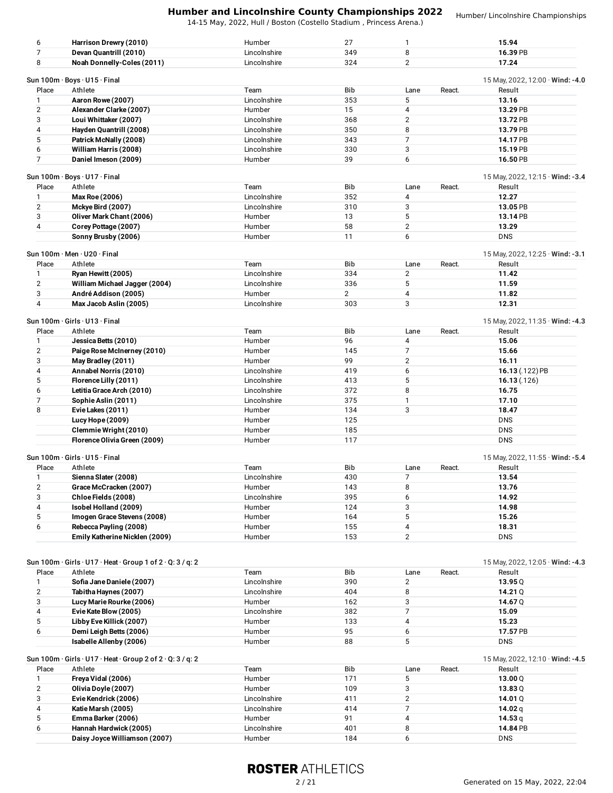14-15 May, 2022, Hull / Boston (Costello Stadium , Princess Arena.)

Humber/ Lincolnshire Championships

| 6              | Harrison Drewry (2010)                                     | Humber                 | 27             | 1              |        | 15.94                                  |
|----------------|------------------------------------------------------------|------------------------|----------------|----------------|--------|----------------------------------------|
| $\overline{7}$ | Devan Quantrill (2010)                                     | Lincolnshire           | 349            | 8              |        | 16.39 PB                               |
| 8              | Noah Donnelly-Coles (2011)                                 | Lincolnshire           | 324            | $\overline{2}$ |        | 17.24                                  |
|                |                                                            |                        |                |                |        |                                        |
|                | Sun 100m · Boys · U15 · Final                              |                        |                |                |        | 15 May, 2022, 12:00 $\cdot$ Wind: -4.0 |
| Place          | Athlete                                                    | Team                   | Bib            | Lane           | React. | Result                                 |
| 1              | Aaron Rowe (2007)                                          | Lincolnshire           | 353            | 5              |        | 13.16                                  |
| 2              | Alexander Clarke (2007)                                    | Humber                 | 15             | 4              |        | 13.29 PB                               |
| 3              | Loui Whittaker (2007)                                      | Lincolnshire           | 368            | $\overline{2}$ |        | 13.72 PB                               |
| 4              | Hayden Quantrill (2008)                                    | Lincolnshire           | 350            | 8              |        | 13.79 PB                               |
| 5<br>6         | Patrick McNally (2008)                                     | Lincolnshire           | 343            | 7              |        | 14.17 PB                               |
| 7              | William Harris (2008)<br>Daniel Imeson (2009)              | Lincolnshire<br>Humber | 330<br>39      | 3<br>6         |        | 15.19 PB<br>16.50 PB                   |
|                |                                                            |                        |                |                |        |                                        |
|                | Sun 100m · Boys · U17 · Final                              |                        |                |                |        | 15 May, 2022, 12:15 · Wind: -3.4       |
| Place          | Athlete                                                    | Team                   | Bib            | Lane           | React. | Result                                 |
| $\mathbf{1}$   | <b>Max Roe (2006)</b>                                      | Lincolnshire           | 352            | $\overline{4}$ |        | 12.27                                  |
| $\overline{2}$ | Mckye Bird (2007)                                          | Lincolnshire           | 310            | 3              |        | 13.05 PB                               |
| 3              | Oliver Mark Chant (2006)                                   | Humber                 | 13             | 5              |        | 13.14 PB                               |
| 4              | Corey Pottage (2007)                                       | Humber                 | 58             | $\overline{2}$ |        | 13.29                                  |
|                | Sonny Brusby (2006)                                        | Humber                 | 11             | 6              |        | <b>DNS</b>                             |
|                |                                                            |                        |                |                |        |                                        |
|                | Sun 100m · Men · U20 · Final                               |                        |                |                |        | 15 May, 2022, 12:25 $\cdot$ Wind: -3.1 |
| Place          | Athlete                                                    | Team                   | Bib            | Lane           | React. | Result                                 |
| 1              | Ryan Hewitt (2005)                                         | Lincolnshire           | 334            | $\overline{2}$ |        | 11.42                                  |
| $\overline{2}$ | William Michael Jagger (2004)                              | Lincolnshire           | 336            | 5              |        | 11.59                                  |
| 3              | André Addison (2005)                                       | Humber                 | $\overline{2}$ | $\overline{4}$ |        | 11.82                                  |
| 4              | Max Jacob Aslin (2005)                                     | Lincolnshire           | 303            | 3              |        | 12.31                                  |
|                | Sun 100m · Girls · U13 · Final                             |                        |                |                |        | 15 May, 2022, 11:35 $\cdot$ Wind: -4.3 |
| Place          | Athlete                                                    | Team                   | Bib            | Lane           | React. | Result                                 |
| 1              | Jessica Betts (2010)                                       | Humber                 | 96             | 4              |        | 15.06                                  |
| $\overline{2}$ | Paige Rose McInerney (2010)                                | Humber                 | 145            | $\overline{7}$ |        | 15.66                                  |
| 3              | May Bradley (2011)                                         | Humber                 | 99             | $\mathbf{2}$   |        | 16.11                                  |
| 4              | Annabel Norris (2010)                                      | Lincolnshire           | 419            | 6              |        | 16.13 (.122) PB                        |
| 5              | Florence Lilly (2011)                                      | Lincolnshire           | 413            | 5              |        | 16.13(.126)                            |
| 6              | Letitia Grace Arch (2010)                                  | Lincolnshire           | 372            | 8              |        | 16.75                                  |
| 7              | Sophie Aslin (2011)                                        | Lincolnshire           | 375            | 1              |        | 17.10                                  |
| 8              | Evie Lakes (2011)                                          | Humber                 | 134            | 3              |        | 18.47                                  |
|                | Lucy Hope (2009)                                           | Humber                 | 125            |                |        | <b>DNS</b>                             |
|                | Clemmie Wright (2010)                                      | Humber                 | 185            |                |        | <b>DNS</b>                             |
|                | Florence Olivia Green (2009)                               | Humber                 | 117            |                |        | <b>DNS</b>                             |
|                |                                                            |                        |                |                |        |                                        |
|                | Sun 100m · Girls · U15 · Final                             |                        |                |                |        | 15 May, 2022, 11:55 · Wind: -5.4       |
| Place          | Athlete                                                    | Team                   | Bib            | Lane           | React. | Result                                 |
| 1              | Sienna Slater (2008)                                       | Lincolnshire           | 430            | 7              |        | 13.54                                  |
| $\overline{c}$ | Grace McCracken (2007)                                     | Humber                 | 143            | 8              |        | 13.76                                  |
| 3              | Chloe Fields (2008)                                        | Lincolnshire           | 395            | 6              |        | 14.92                                  |
| 4              | Isobel Holland (2009)                                      | Humber                 | 124            | 3              |        | 14.98                                  |
| 5              | Imogen Grace Stevens (2008)                                | Humber                 | 164            | 5              |        | 15.26                                  |
| 6              | Rebecca Payling (2008)                                     | Humber                 | 155            | 4              |        | 18.31                                  |
|                | Emily Katherine Nicklen (2009)                             | Humber                 | 153            | $\overline{2}$ |        | <b>DNS</b>                             |
|                |                                                            |                        |                |                |        |                                        |
|                |                                                            |                        |                |                |        |                                        |
|                | Sun 100m · Girls · U17 · Heat · Group 1 of 2 · Q: 3 / q: 2 |                        |                |                |        | 15 May, 2022, 12:05 $\cdot$ Wind: -4.3 |
| Place          | Athlete                                                    | Team                   | Bib            | Lane           | React. | Result                                 |
| 1              | Sofia Jane Daniele (2007)                                  | Lincolnshire           | 390            | $\mathbf{2}$   |        | 13.95 $Q$                              |
| $\overline{2}$ | Tabitha Haynes (2007)                                      | Lincolnshire           | 404            | 8              |        | 14.21 $Q$                              |
| 3              | Lucy Marie Rourke (2006)                                   | Humber                 | 162            | 3              |        | 14.67 Q                                |
| 4              | Evie Kate Blow (2005)                                      | Lincolnshire           | 382            | 7              |        | 15.09                                  |
| 5              | Libby Eve Killick (2007)                                   | Humber                 | 133            | 4              |        | 15.23                                  |
| 6              | Demi Leigh Betts (2006)<br>Isabelle Allenby (2006)         | Humber                 | 95<br>88       | 6<br>5         |        | 17.57 PB<br><b>DNS</b>                 |
|                |                                                            | Humber                 |                |                |        |                                        |
|                | Sun 100m · Girls · U17 · Heat · Group 2 of 2 · Q: 3 / q: 2 |                        |                |                |        | 15 May, 2022, 12:10 $\cdot$ Wind: -4.5 |
| Place          | Athlete                                                    | Team                   | Bib            | Lane           | React. | Result                                 |
| 1              | Freya Vidal (2006)                                         | Humber                 | 171            | 5              |        | 13.00 $Q$                              |
| $\overline{c}$ | Olivia Doyle (2007)                                        | Humber                 | 109            | 3              |        | 13.83Q                                 |
| 3              | Evie Kendrick (2006)                                       | Lincolnshire           | 411            | $\overline{2}$ |        | 14.01 Q                                |
| 4              | Katie Marsh (2005)                                         | Lincolnshire           | 414            | $\overline{7}$ |        | 14.02 $q$                              |
| 5              | Emma Barker (2006)                                         | Humber                 | 91             | 4              |        | 14.53 $q$                              |
|                |                                                            |                        |                |                |        |                                        |

# **ROSTER ATHLETICS**

**Hannah Hardwick (2005)** Lincolnshire 401 8 **14.84** PB

**Daisy Joyce Williamson (2007)**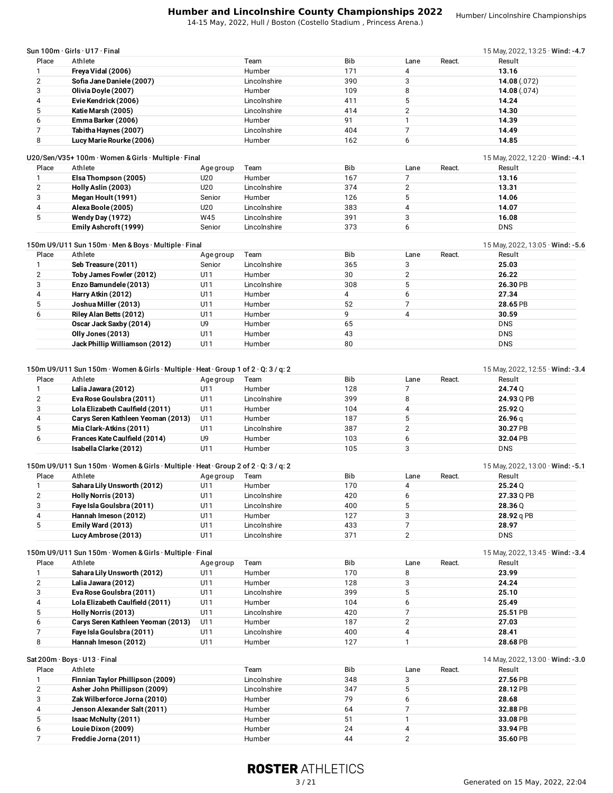14-15 May, 2022, Hull / Boston (Costello Stadium , Princess Arena.)

| Place                                             | Sun 100m · Girls · U17 · Final<br>Athlete                                                                                    |                  | Team                   | Bib        |                        | React. | 15 May, 2022, 13:25 $\cdot$ Wind: -4.7<br>Result |
|---------------------------------------------------|------------------------------------------------------------------------------------------------------------------------------|------------------|------------------------|------------|------------------------|--------|--------------------------------------------------|
| 1                                                 |                                                                                                                              |                  | Humber                 | 171        | Lane<br>4              |        | 13.16                                            |
| $\overline{2}$                                    | Freya Vidal (2006)<br>Sofia Jane Daniele (2007)                                                                              |                  |                        |            | 3                      |        |                                                  |
| 3                                                 |                                                                                                                              |                  | Lincolnshire<br>Humber | 390<br>109 | 8                      |        | 14.08(0.072)                                     |
| 4                                                 | Olivia Doyle (2007)                                                                                                          |                  |                        |            | 5                      |        | 14.08(0.074)                                     |
|                                                   | Evie Kendrick (2006)                                                                                                         |                  | Lincolnshire           | 411        |                        |        | 14.24                                            |
| 5                                                 | Katie Marsh (2005)                                                                                                           |                  | Lincolnshire           | 414        | $\mathbf{2}$           |        | 14.30                                            |
| 6                                                 | Emma Barker (2006)                                                                                                           |                  | Humber                 | 91         | $\mathbf{1}$           |        | 14.39                                            |
| 7                                                 | Tabitha Haynes (2007)                                                                                                        |                  | Lincolnshire           | 404        | $\overline{7}$         |        | 14.49                                            |
| 8                                                 | Lucy Marie Rourke (2006)                                                                                                     |                  | Humber                 | 162        | 6                      |        | 14.85                                            |
|                                                   | U20/Sen/V35+100m · Women & Girls · Multiple · Final<br>Athlete                                                               |                  |                        |            |                        |        | 15 May, 2022, 12:20 · Wind: -4.1                 |
| Place<br>1                                        |                                                                                                                              | Age group<br>U20 | Team<br>Humber         | Bib<br>167 | Lane<br>$\overline{7}$ | React. | Result                                           |
|                                                   | Elsa Thompson (2005)                                                                                                         |                  |                        |            |                        |        | 13.16                                            |
| $\mathbf{2}$                                      | Holly Aslin (2003)                                                                                                           | U20              | Lincolnshire           | 374        | $\mathbf{2}$           |        | 13.31                                            |
| 3                                                 | Megan Hoult (1991)                                                                                                           | Senior           | Humber                 | 126        | 5                      |        | 14.06                                            |
| 4                                                 | Alexa Boole (2005)                                                                                                           | U20              | Lincolnshire           | 383        | 4                      |        | 14.07                                            |
| 5                                                 | Wendy Day (1972)                                                                                                             | W45              | Lincolnshire           | 391        | 3                      |        | 16.08                                            |
|                                                   | Emily Ashcroft (1999)                                                                                                        | Senior           | Lincolnshire           | 373        | 6                      |        | <b>DNS</b>                                       |
|                                                   | 150m U9/U11 Sun 150m · Men & Boys · Multiple · Final                                                                         |                  |                        |            |                        |        | 15 May, 2022, 13:05 $\cdot$ Wind: -5.6           |
| Place                                             | Athlete                                                                                                                      | Age group        | Team                   | Bib        | Lane                   | React. | Result                                           |
| 1                                                 | Seb Treasure (2011)                                                                                                          | Senior           | Lincolnshire           | 365        | 3                      |        | 25.03                                            |
| $\overline{2}$                                    | Toby James Fowler (2012)                                                                                                     | U11              | Humber                 | 30         | $\overline{2}$         |        | 26.22                                            |
| 3                                                 | Enzo Bamundele (2013)                                                                                                        | U11              | Lincolnshire           | 308        | 5                      |        | 26.30 PB                                         |
| 4                                                 | Harry Atkin (2012)                                                                                                           | U11              | Humber                 | 4          | 6                      |        | 27.34                                            |
| 5                                                 | Joshua Miller (2013)                                                                                                         | U11              | Humber                 | 52         | $\overline{7}$         |        | 28.65 PB                                         |
| 6                                                 | Riley Alan Betts (2012)                                                                                                      | U11              | Humber                 | 9          | $\overline{4}$         |        | 30.59                                            |
|                                                   | Oscar Jack Saxby (2014)                                                                                                      | U9               | Humber                 | 65         |                        |        | <b>DNS</b>                                       |
|                                                   | Olly Jones (2013)                                                                                                            | U11              | Humber                 | 43         |                        |        | <b>DNS</b>                                       |
|                                                   | Jack Phillip Williamson (2012)                                                                                               | U11              | Humber                 | 80         |                        |        | <b>DNS</b>                                       |
| Place                                             | 150m U9/U11 Sun 150m $\cdot$ Women & Girls $\cdot$ Multiple $\cdot$ Heat $\cdot$ Group 1 of 2 $\cdot$ Q: 3 / q: 2<br>Athlete | Age group        | Team                   | Bib        | Lane                   | React. | 15 May, 2022, 12:55 $\cdot$ Wind: -3.4<br>Result |
| 1                                                 | Lalia Jawara (2012)                                                                                                          | U11              | Humber                 | 128        | 7                      |        | 24.74 Q                                          |
| 2                                                 | Eva Rose Goulsbra (2011)                                                                                                     | U11              | Lincolnshire           | 399        | 8                      |        | 24.93 Q PB                                       |
| 3                                                 | Lola Elizabeth Caulfield (2011)                                                                                              |                  | Humber                 |            |                        |        |                                                  |
|                                                   |                                                                                                                              | U11              |                        | 104        | 4                      |        | 25.92Q                                           |
|                                                   | Carys Seren Kathleen Yeoman (2013)                                                                                           | U11              | Humber                 | 187        | 5                      |        | 26.96q                                           |
|                                                   | Mia Clark-Atkins (2011)                                                                                                      | U11              | Lincolnshire           | 387        | $\mathbf{2}$           |        | 30.27 PB                                         |
|                                                   | Frances Kate Caulfield (2014)                                                                                                | U9               | Humber                 | 103        | 6                      |        | 32.04 PB                                         |
|                                                   | Isabella Clarke (2012)                                                                                                       | U11              | Humber                 | 105        | 3                      |        | <b>DNS</b>                                       |
|                                                   | 150m U9/U11 Sun 150m · Women & Girls · Multiple · Heat · Group 2 of 2 · Q: 3 / q: 2                                          |                  |                        |            |                        |        | 15 May, 2022, 13:00 $\cdot$ Wind: -5.1           |
|                                                   | Place Athlete and Age group                                                                                                  |                  | Team                   | Bib        | Lane                   | React. | Result                                           |
|                                                   | Sahara Lily Unsworth (2012)                                                                                                  | U11              | Humber                 | 170        | 4                      |        | 25.24 Q                                          |
|                                                   | Holly Norris (2013)                                                                                                          | U11              | Lincolnshire           | 420        | 6                      |        | 27.33 Q PB                                       |
| 4<br>5<br>6<br>1<br>$\mathbf{2}$<br>3             | Faye Isla Goulsbra (2011)                                                                                                    | U11              | Lincolnshire           | 400        | 5                      |        | 28.36 Q                                          |
|                                                   | Hannah Imeson (2012)                                                                                                         | U11              | Humber                 | 127        | 3                      |        | 28.92 q PB                                       |
|                                                   | Emily Ward (2013)                                                                                                            | U11              | Lincolnshire           | 433        | 7                      |        | 28.97                                            |
| 4<br>5                                            | Lucy Ambrose (2013)                                                                                                          | U11              | Lincolnshire           | 371        | $\overline{2}$         |        | <b>DNS</b>                                       |
|                                                   | 150m U9/U11 Sun 150m · Women & Girls · Multiple · Final                                                                      |                  |                        |            |                        |        | 15 May, 2022, 13:45 $\cdot$ Wind: -3.4           |
|                                                   | Athlete                                                                                                                      | Age group        | Team                   | Bib        | Lane                   | React. | Result                                           |
|                                                   | Sahara Lily Unsworth (2012)                                                                                                  | U11              | Humber                 | 170        | 8                      |        | 23.99                                            |
|                                                   | Lalia Jawara (2012)                                                                                                          | U11              | Humber                 | 128        | 3                      |        | 24.24                                            |
|                                                   | Eva Rose Goulsbra (2011)                                                                                                     | U11              | Lincolnshire           | 399        | 5                      |        | 25.10                                            |
| Place<br>1<br>$\mathbf{2}$<br>3<br>$\overline{4}$ |                                                                                                                              |                  |                        |            |                        |        |                                                  |
|                                                   | Lola Elizabeth Caulfield (2011)                                                                                              | U11              | Humber                 | 104        | 6                      |        | 25.49                                            |
|                                                   | Holly Norris (2013)                                                                                                          | U11              | Lincolnshire           | 420        | $\overline{7}$         |        | 25.51 PB                                         |
|                                                   | Carys Seren Kathleen Yeoman (2013)                                                                                           | U11              | Humber                 | 187        | $\overline{2}$         |        | 27.03                                            |
|                                                   | Faye Isla Goulsbra (2011)                                                                                                    | U11              | Lincolnshire           | 400        | $\pmb{4}$              |        | 28.41                                            |
| 5<br>6<br>7<br>8                                  | Hannah Imeson (2012)                                                                                                         | U11              | Humber                 | 127        | $\mathbf{1}$           |        | 28.68 PB                                         |
|                                                   | Sat $200m \cdot$ Boys $\cdot$ U13 $\cdot$ Final                                                                              |                  |                        |            |                        |        | 14 May, 2022, 13:00 $\cdot$ Wind: -3.0           |

| Place | Athlete                          | Team         | <b>Bib</b> | Lane | React. | Result   |
|-------|----------------------------------|--------------|------------|------|--------|----------|
|       | Finnian Taylor Phillipson (2009) | Lincolnshire | 348        |      |        | 27.56 PB |
|       | Asher John Phillipson (2009)     | Lincolnshire | 347        |      |        | 28.12 PB |
|       | Zak Wilberforce Jorna (2010)     | Humber       | 79         |      |        | 28.68    |
|       | Jenson Alexander Salt (2011)     | Humber       | 64         |      |        | 32.88 PB |
|       | <b>Isaac McNulty (2011)</b>      | Humber       | 51         |      |        | 33.08 PB |
|       | Louie Dixon (2009)               | Humber       | 24         |      |        | 33.94 PB |
|       | Freddie Jorna (2011)             | Humber       | 44         |      |        | 35.60 PB |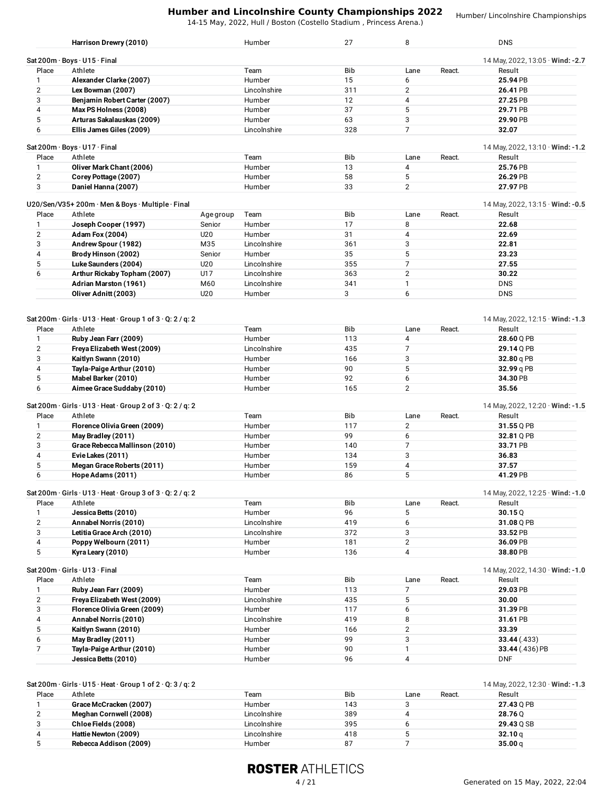14-15 May, 2022, Hull / Boston (Costello Stadium , Princess Arena.)

Humber/ Lincolnshire Championships

|                | Harrison Drewry (2010)                                                                   |           | Humber           | 27       | 8                 |        | <b>DNS</b>                             |
|----------------|------------------------------------------------------------------------------------------|-----------|------------------|----------|-------------------|--------|----------------------------------------|
|                | Sat 200m · Boys · U15 · Final                                                            |           |                  |          |                   |        | 14 May, 2022, 13:05 · Wind: -2.7       |
| Place          | Athlete                                                                                  |           | Team             | Bib      | Lane              | React. | Result                                 |
| $\mathbf{1}$   | Alexander Clarke (2007)                                                                  |           | Humber           | 15       | 6                 |        | 25.94 PB                               |
| $\overline{2}$ | Lex Bowman (2007)                                                                        |           | Lincolnshire     | 311      | $\mathbf{2}$      |        | 26.41 PB                               |
| 3              | Benjamin Robert Carter (2007)                                                            |           | Humber           | 12       | 4                 |        | 27.25 PB                               |
| 4              | Max PS Holness (2008)                                                                    |           | Humber           | 37       | 5                 |        | 29.71 PB                               |
| 5              | Arturas Sakalauskas (2009)                                                               |           | Humber           | 63       | 3                 |        | 29.90 PB                               |
|                |                                                                                          |           |                  | 328      | $\overline{7}$    |        |                                        |
| 6              | Ellis James Giles (2009)                                                                 |           | Lincolnshire     |          |                   |        | 32.07                                  |
|                | Sat 200m · Boys · U17 · Final                                                            |           |                  |          |                   |        | 14 May, 2022, 13:10 $\cdot$ Wind: -1.2 |
| Place          | Athlete                                                                                  |           | Team             | Bib      | Lane              | React. | Result                                 |
| $\mathbf{1}$   | Oliver Mark Chant (2006)                                                                 |           | Humber           | 13       | 4                 |        | 25.76 PB                               |
| $\overline{2}$ | Corey Pottage (2007)                                                                     |           | Humber           | 58       | 5                 |        | 26.29 PB                               |
| 3              | Daniel Hanna (2007)                                                                      |           | Humber           | 33       | 2                 |        | 27.97 PB                               |
|                | U20/Sen/V35+200m · Men & Boys · Multiple · Final                                         |           |                  |          |                   |        | 14 May, 2022, 13:15 $\cdot$ Wind: -0.5 |
| Place          | Athlete                                                                                  | Age group | Team             | Bib      | Lane              | React. | Result                                 |
| 1              | Joseph Cooper (1997)                                                                     | Senior    | Humber           | 17       | 8                 |        | 22.68                                  |
| $\overline{2}$ |                                                                                          |           | Humber           | 31       | $\overline{4}$    |        |                                        |
|                | <b>Adam Fox (2004)</b>                                                                   | U20       |                  |          |                   |        | 22.69                                  |
| 3              | Andrew Spour (1982)                                                                      | M35       | Lincolnshire     | 361      | 3                 |        | 22.81                                  |
| 4              | Brody Hinson (2002)                                                                      | Senior    | Humber           | 35       | 5                 |        | 23.23                                  |
| 5              | Luke Saunders (2004)                                                                     | U20       | Lincolnshire     | 355      | $\overline{7}$    |        | 27.55                                  |
| 6              | Arthur Rickaby Topham (2007)                                                             | U17       | Lincolnshire     | 363      | 2                 |        | 30.22                                  |
|                | Adrian Marston (1961)                                                                    | M60       | Lincolnshire     | 341      | $\mathbf{1}$      |        | <b>DNS</b>                             |
|                | Oliver Adnitt (2003)                                                                     | U20       | Humber           | 3        | 6                 |        | <b>DNS</b>                             |
|                |                                                                                          |           |                  |          |                   |        |                                        |
|                | Sat 200m · Girls · U13 · Heat · Group 1 of 3 · Q: 2 / q: 2                               |           |                  |          |                   |        | 14 May, 2022, 12:15 · Wind: -1.3       |
| Place          | Athlete                                                                                  |           | Team             | Bib      | Lane              | React. | Result                                 |
| $\mathbf{1}$   | Ruby Jean Farr (2009)                                                                    |           | Humber           | 113      | 4                 |        | 28.60 Q PB                             |
| $\overline{2}$ | Freya Elizabeth West (2009)                                                              |           | Lincolnshire     | 435      | $\overline{7}$    |        | 29.14 Q PB                             |
| 3              | Kaitlyn Swann (2010)                                                                     |           | Humber           | 166      | 3                 |        | 32.80 q PB                             |
| 4              | Tayla-Paige Arthur (2010)                                                                |           | Humber           | 90       | 5                 |        | 32.99 q PB                             |
| 5              | Mabel Barker (2010)                                                                      |           | Humber           | 92       | 6                 |        | 34.30 PB                               |
| 6              | Aimee Grace Suddaby (2010)                                                               |           | Humber           | 165      | 2                 |        | 35.56                                  |
|                |                                                                                          |           |                  |          |                   |        |                                        |
|                |                                                                                          |           |                  |          |                   |        | 14 May, 2022, 12:20 $\cdot$ Wind: -1.5 |
|                | Sat 200m · Girls · U13 · Heat · Group 2 of 3 · Q: 2 / q: 2                               |           |                  |          |                   |        |                                        |
| Place          | Athlete                                                                                  |           | Team             | Bib      | Lane              | React. | Result                                 |
| $\mathbf{1}$   | Florence Olivia Green (2009)                                                             |           | Humber           | 117      | 2                 |        | 31.55 Q PB                             |
| $\overline{2}$ | May Bradley (2011)                                                                       |           | Humber           | 99       | 6                 |        | 32.81 Q PB                             |
| 3              | Grace Rebecca Mallinson (2010)                                                           |           | Humber           | 140      | $\overline{7}$    |        | 33.71 PB                               |
| 4              | Evie Lakes (2011)                                                                        |           | Humber           | 134      | 3                 |        | 36.83                                  |
| 5              | Megan Grace Roberts (2011)                                                               |           | Humber           | 159      | 4                 |        | 37.57                                  |
| 6              | Hope Adams (2011)                                                                        |           | Humber           | 86       | 5                 |        | 41.29 PB                               |
|                |                                                                                          |           |                  |          |                   |        |                                        |
|                | Sat 200m $\cdot$ Girls $\cdot$ U13 $\cdot$ Heat $\cdot$ Group 3 of 3 $\cdot$ Q: 2 / q: 2 |           |                  |          |                   |        | 14 May, 2022, 12:25 $\cdot$ Wind: -1.0 |
| Place          | Athlete                                                                                  |           | Team             | Bib      | Lane              | React. | Result                                 |
| $\mathbf{1}$   | Jessica Betts (2010)                                                                     |           | Humber           | 96       | 5                 |        | 30.15Q                                 |
| $\overline{2}$ | Annabel Norris (2010)                                                                    |           | Lincolnshire     | 419      | 6                 |        | 31.08 Q PB                             |
| 3              | Letitia Grace Arch (2010)                                                                |           | Lincolnshire     | 372      | 3                 |        | 33.52 PB                               |
| 4              | Poppy Welbourn (2011)                                                                    |           | Humber           | 181      | $\overline{2}$    |        | 36.09 PB                               |
| 5              | Kyra Leary (2010)                                                                        |           | Humber           | 136      | 4                 |        | 38.80 PB                               |
|                | Sat 200m · Girls · U13 · Final                                                           |           |                  |          |                   |        | 14 May, 2022, 14:30 · Wind: -1.0       |
| Place          | Athlete                                                                                  |           | Team             | Bib      | Lane              | React. | Result                                 |
| 1              | Ruby Jean Farr (2009)                                                                    |           | Humber           | 113      | $\overline{7}$    |        | 29.03 PB                               |
| $\overline{2}$ | Freya Elizabeth West (2009)                                                              |           | Lincolnshire     | 435      | 5                 |        | 30.00                                  |
| 3              | Florence Olivia Green (2009)                                                             |           | Humber           | 117      | 6                 |        | 31.39 PB                               |
|                |                                                                                          |           | Lincolnshire     | 419      |                   |        |                                        |
| 4              | Annabel Norris (2010)                                                                    |           |                  |          | 8                 |        | 31.61 PB                               |
| 5              | Kaitlyn Swann (2010)                                                                     |           | Humber           | 166      | $\mathbf{2}$      |        | 33.39                                  |
| 6              | May Bradley (2011)                                                                       |           | Humber           | 99       | 3                 |        | 33.44 (.433)                           |
| 7              | Tayla-Paige Arthur (2010)<br>Jessica Betts (2010)                                        |           | Humber<br>Humber | 90<br>96 | $\mathbf{1}$<br>4 |        | 33.44 (.436) PB<br><b>DNF</b>          |

|       | $3a$ l 2001 II GIIIS O IJ TIE al GIUUD IUIZ Q. 3 / U. 2 |              |            |      |        | $14$ IVIdy, $2022$ , $12.50$ Willia. - I |
|-------|---------------------------------------------------------|--------------|------------|------|--------|------------------------------------------|
| Place | Athlete                                                 | Team         | <b>Bib</b> | Lane | React. | Result                                   |
|       | Grace McCracken (2007)                                  | Humber       | 143        |      |        | 27.43 0 PB                               |
|       | Meghan Cornwell (2008)                                  | Lincolnshire | 389        |      |        | 28.760                                   |
|       | Chloe Fields (2008)                                     | Lincolnshire | 395        |      |        | 29.43 O SB                               |
|       | Hattie Newton (2009)                                    | Lincolnshire | 418        |      |        | 32.10 q                                  |
|       | Rebecca Addison (2009)                                  | Humber       | 87         |      |        | 35.00 <sub>q</sub>                       |
|       |                                                         |              |            |      |        |                                          |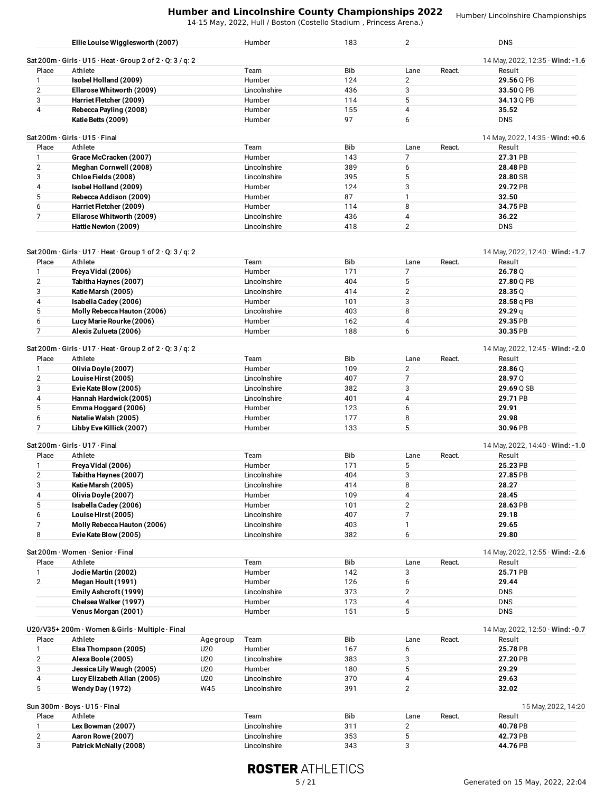14-15 May, 2022, Hull / Boston (Costello Stadium , Princess Arena.)

Humber/ Lincolnshire Championships

|                | Ellie Louise Wigglesworth (2007)                             | Humber        | 183        | $\overline{2}$ |        | <b>DNS</b>                                 |
|----------------|--------------------------------------------------------------|---------------|------------|----------------|--------|--------------------------------------------|
|                | Sat 200m · Girls · U15 · Heat · Group 2 of 2 · Q: 3 / q: 2   |               |            |                |        | 14 May, 2022, 12:35 · Wind: -1.6           |
| Place          | Athlete                                                      | Team          | <b>Bib</b> | Lane           | React. | Result                                     |
|                | Isobel Holland (2009)                                        | <b>Humber</b> | 124        | $\overline{2}$ |        | 29.56 Q PB                                 |
| $\overline{2}$ | Ellarose Whitworth (2009)                                    | Lincolnshire  | 436        | 3              |        | 33.50 Q PB                                 |
| 3              | Harriet Fletcher (2009)                                      | Humber        | 114        | 5              |        | 34.13 Q PB                                 |
| 4              | Rebecca Payling (2008)                                       | <b>Humber</b> | 155        | 4              |        | 35.52                                      |
|                | Katie Betts (2009)                                           | Humber        | 97         | 6              |        | <b>DNS</b>                                 |
| Place          | Sat 200 $m \cdot$ Girls $\cdot$ U15 $\cdot$ Final<br>Athlete | Team          | <b>Bib</b> | Lane           | React. | 14 May, 2022, 14:35 · Wind: +0.6<br>Result |
|                |                                                              | Humber        | 143        |                |        | 27.31 PB                                   |
|                | Grace McCracken (2007)<br>Meghan Cornwell (2008)             | Lincolnshire  | 389        |                |        | 28.48 PB                                   |
| 2              |                                                              |               |            | 6              |        |                                            |
| 3              | Chloe Fields (2008)                                          | Lincolnshire  | 395        | 5              |        | 28.80 SB                                   |
| 4              | Isobel Holland (2009)                                        | Humber        | 124        | 3              |        | 29.72 PB                                   |
| 5              | Rebecca Addison (2009)                                       | Humber        | 87         |                |        | 32.50                                      |
| 6.             | Harriet Fletcher (2009)                                      | Humber        | 114        | 8              |        | 34.75 PB                                   |
|                | Ellarose Whitworth (2009)                                    | Lincolnshire  | 436        | 4              |        | 36.22                                      |
|                | Hattie Newton (2009)                                         | Lincolnshire  | 418        | 2              |        | <b>DNS</b>                                 |
|                |                                                              |               |            |                |        |                                            |

| Place          | Athlete                                                    |           | Team                | <b>Bib</b> | Lane           | React. | Result                                     |
|----------------|------------------------------------------------------------|-----------|---------------------|------------|----------------|--------|--------------------------------------------|
| 1              | Freya Vidal (2006)                                         |           | Humber              | 171        | 7              |        | 26.78 Q                                    |
| $\overline{2}$ | Tabitha Haynes (2007)                                      |           | Lincolnshire        | 404        | 5              |        | 27.80 Q PB                                 |
| 3              | Katie Marsh (2005)                                         |           | Lincolnshire        | 414        | $\overline{2}$ |        | 28.35Q                                     |
| 4              | Isabella Cadey (2006)                                      |           | Humber              | 101        | 3              |        | 28.58 g PB                                 |
| 5              | Molly Rebecca Hauton (2006)                                |           | Lincolnshire        | 403        | 8              |        | 29.29q                                     |
| 6              | Lucy Marie Rourke (2006)                                   |           | Humber              | 162        | $\overline{4}$ |        | 29.35 PB                                   |
| $\overline{7}$ | Alexis Zulueta (2006)                                      |           | Humber              | 188        | 6              |        | 30.35 PB                                   |
|                | Sat 200m · Girls · U17 · Heat · Group 2 of 2 · Q: 3 / q: 2 |           |                     |            |                |        | 14 May, 2022, 12:45 $\cdot$ Wind: -2.0     |
| Place          | Athlete                                                    |           | Team                | Bib        | Lane           | React. | Result                                     |
| 1              | Olivia Doyle (2007)                                        |           | Humber              | 109        | $\overline{2}$ |        | 28.86 Q                                    |
| $\overline{2}$ | Louise Hirst (2005)                                        |           | Lincolnshire        | 407        | $\overline{7}$ |        | 28.97 Q                                    |
| 3              | Evie Kate Blow (2005)                                      |           | Lincolnshire        | 382        | 3              |        | 29.69 Q SB                                 |
| $\overline{4}$ | Hannah Hardwick (2005)                                     |           | Lincolnshire        | 401        | 4              |        | 29.71 PB                                   |
| 5              | Emma Hoggard (2006)                                        |           | Humber              | 123        | 6              |        | 29.91                                      |
| 6              | Natalie Walsh (2005)                                       |           | Humber              | 177        | 8              |        | 29.98                                      |
| $\overline{7}$ | Libby Eve Killick (2007)                                   |           | Humber              | 133        | 5              |        | 30.96 PB                                   |
| Place          | Sat 200m · Girls · U17 · Final<br>Athlete                  |           | Team                | <b>Bib</b> | Lane           | React. | 14 May, 2022, 14:40 · Wind: -1.0<br>Result |
| 1              | Freya Vidal (2006)                                         |           | Humber              | 171        | 5              |        | 25.23 PB                                   |
| $\overline{2}$ | Tabitha Haynes (2007)                                      |           | Lincolnshire        | 404        | 3              |        | 27.85 PB                                   |
| 3              | Katie Marsh (2005)                                         |           | Lincolnshire        | 414        | 8              |        | 28.27                                      |
| $\overline{4}$ | Olivia Doyle (2007)                                        |           | Humber              | 109        | $\overline{4}$ |        | 28.45                                      |
| 5              | Isabella Cadey (2006)                                      |           | Humber              | 101        | $\overline{2}$ |        | 28.63 PB                                   |
| 6              | Louise Hirst (2005)                                        |           | Lincolnshire        | 407        | 7              |        | 29.18                                      |
| 7              | Molly Rebecca Hauton (2006)                                |           | Lincolnshire        | 403        | $\mathbf{1}$   |        | 29.65                                      |
| 8              | Evie Kate Blow (2005)                                      |           | Lincolnshire        | 382        | 6              |        | 29.80                                      |
|                | Sat 200m · Women · Senior · Final                          |           |                     |            |                |        | 14 May, 2022, 12:55 · Wind: -2.6           |
| Place          | Athlete                                                    |           | Team                | <b>Bib</b> | Lane           | React. | Result                                     |
| 1              | Jodie Martin (2002)                                        |           | Humber              | 142        | 3              |        | 25.71 PB                                   |
| $\overline{2}$ | Megan Hoult (1991)                                         |           | Humber              | 126        | 6              |        | 29.44                                      |
|                | Emily Ashcroft (1999)                                      |           | Lincolnshire        | 373        | 2              |        | <b>DNS</b>                                 |
|                | Chelsea Walker (1997)                                      |           | Humber              | 173        | 4              |        | <b>DNS</b>                                 |
|                | Venus Morgan (2001)                                        |           | Humber              | 151        | 5              |        | <b>DNS</b>                                 |
|                |                                                            |           |                     |            |                |        |                                            |
|                | U20/V35+200m · Women & Girls · Multiple · Final            |           |                     |            |                |        | 14 May, 2022, 12:50 · Wind: -0.7           |
| Place          | Athlete                                                    | Age group | Team                | <b>Bib</b> | Lane           | React. | Result                                     |
| 1              | Elsa Thompson (2005)                                       | U20       | Humber              | 167        | 6              |        | 25.78 PB                                   |
| $\mathcal{D}$  | Alexa Boole (2005)                                         | 1120      | <b>Lincolnehire</b> | 383        | J.             |        | 27.20 PR                                   |

| $-0.00$ . $-0.00$ . $-0.00$ . $-0.00$ . $-0.00$ . $-0.00$ . $-0.00$ . $-0.00$ . $-0.00$ . $-0.00$ . $-0.00$ . $-0.00$ . $-0.00$ . $-0.00$ . $-0.00$ . $-0.00$ . $-0.00$ . $-0.00$ . $-0.00$ . $-0.00$ . $-0.00$ . $-0.00$ . | $- -$ | .            | .   | ------   |
|-----------------------------------------------------------------------------------------------------------------------------------------------------------------------------------------------------------------------------|-------|--------------|-----|----------|
| Alexa Boole (2005)                                                                                                                                                                                                          | J20   | Lincolnshire | 383 | 27.20 PB |
| Jessica Lily Waugh (2005)                                                                                                                                                                                                   | J20   | Humber       | 180 | 29.29    |
| Lucy Elizabeth Allan (2005)                                                                                                                                                                                                 | U20   | Lincolnshire | 370 | 29.63    |
| Wendy Day (1972)                                                                                                                                                                                                            | W45   | Lincolnshire | 391 | 32.02    |

|       | Sun 300m · Boys · U15 · Final |              |                 |                | 15 May, 2022, 14:20 |
|-------|-------------------------------|--------------|-----------------|----------------|---------------------|
| Place | Athlete                       | Team         | <b>Bib</b>      | React.<br>Lane | Result              |
|       | Lex Bowman (2007)             | Lincolnshire | 31 <sup>2</sup> |                | 40.78 PB            |
| ∼     | Aaron Rowe (2007)             | Lincolnshire | 353             |                | 42.73 PB            |
|       | Patrick McNally (2008)        | Lincolnshire | 343             |                | 44.76 PB            |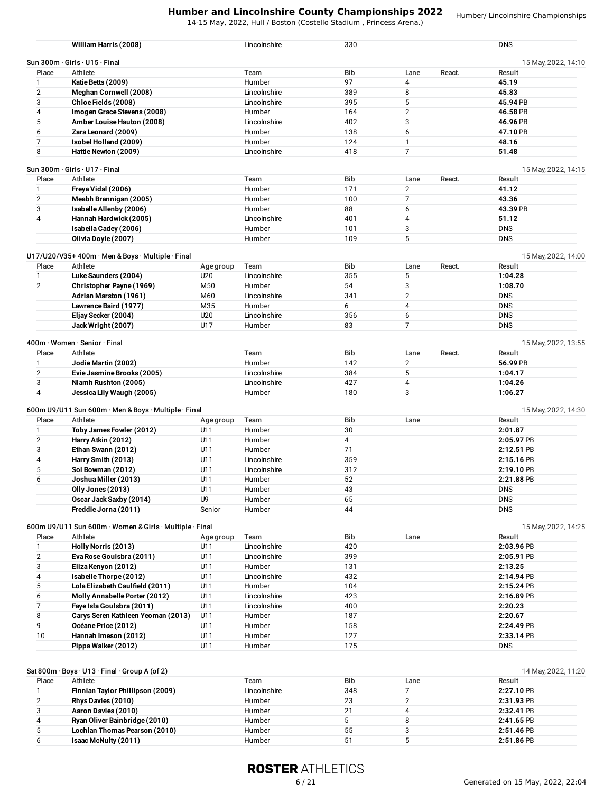14-15 May, 2022, Hull / Boston (Costello Stadium , Princess Arena.)

Humber/ Lincolnshire Championships

|                | William Harris (2008)                                              |           | Lincolnshire           | 330        |                |        | <b>DNS</b>          |
|----------------|--------------------------------------------------------------------|-----------|------------------------|------------|----------------|--------|---------------------|
|                | Sun $300m \cdot$ Girls $\cdot$ U15 $\cdot$ Final                   |           |                        |            |                |        | 15 May, 2022, 14:10 |
| Place          | Athlete                                                            |           | Team                   | Bib        | Lane           | React. | Result              |
| $\mathbf{1}$   | Katie Betts (2009)                                                 |           | Humber                 | 97         | 4              |        | 45.19               |
| 2              | Meghan Cornwell (2008)                                             |           | Lincolnshire           | 389        | 8              |        | 45.83               |
| 3              | Chloe Fields (2008)                                                |           | Lincolnshire           | 395        | 5              |        | 45.94 PB            |
| 4              | Imogen Grace Stevens (2008)                                        |           | Humber                 | 164        | $\overline{2}$ |        | 46.58 PB            |
| 5              | Amber Louise Hauton (2008)                                         |           | Lincolnshire           | 402        | 3              |        | 46.96 PB            |
| 6              | Zara Leonard (2009)                                                |           | Humber                 | 138        | 6              |        | 47.10 PB            |
| 7              | Isobel Holland (2009)                                              |           | Humber                 | 124        | $\mathbf{1}$   |        | 48.16               |
| 8              | Hattie Newton (2009)                                               |           | Lincolnshire           | 418        | $\overline{7}$ |        | 51.48               |
|                | Sun 300m · Girls · U17 · Final                                     |           |                        |            |                |        | 15 May, 2022, 14:15 |
| Place          | Athlete                                                            |           | Team                   | Bib        | Lane           | React. | Result              |
|                |                                                                    |           |                        |            |                |        |                     |
| 1              | Freya Vidal (2006)                                                 |           | Humber                 | 171        | $\overline{2}$ |        | 41.12               |
| $\overline{2}$ | Meabh Brannigan (2005)                                             |           | Humber                 | 100        | 7              |        | 43.36               |
| 3              | Isabelle Allenby (2006)                                            |           | Humber                 | 88         | 6              |        | 43.39 PB            |
| 4              | Hannah Hardwick (2005)                                             |           | Lincolnshire           | 401        | $\overline{4}$ |        | 51.12               |
|                | Isabella Cadey (2006)                                              |           | Humber                 | 101        | 3              |        | <b>DNS</b>          |
|                | Olivia Doyle (2007)                                                |           | Humber                 | 109        | 5              |        | <b>DNS</b>          |
|                | $U17/U20/V35+400m \cdot$ Men & Boys $\cdot$ Multiple $\cdot$ Final |           |                        |            |                |        | 15 May, 2022, 14:00 |
| Place          | Athlete                                                            | Age group | Team                   | Bib        | Lane           | React. | Result              |
| 1              | Luke Saunders (2004)                                               | U20       | Lincolnshire           | 355        | 5              |        | 1:04.28             |
| $\overline{2}$ | Christopher Payne (1969)                                           | M50       | Humber                 | 54         | 3              |        | 1:08.70             |
|                | Adrian Marston (1961)                                              | M60       | Lincolnshire           | 341        | $\overline{2}$ |        | <b>DNS</b>          |
|                | Lawrence Baird (1977)                                              | M35       | Humber                 | 6          | 4              |        | <b>DNS</b>          |
|                | Eljay Secker (2004)                                                | U20       | Lincolnshire           | 356        | 6              |        | <b>DNS</b>          |
|                | Jack Wright (2007)                                                 | U17       | Humber                 | 83         | 7              |        | <b>DNS</b>          |
|                | 400m · Women · Senior · Final                                      |           |                        |            |                |        | 15 May, 2022, 13:55 |
| Place          | Athlete                                                            |           | Team                   | Bib        | Lane           | React. | Result              |
| 1              | Jodie Martin (2002)                                                |           | Humber                 | 142        | $\overline{2}$ |        | 56.99 PB            |
| $\overline{2}$ |                                                                    |           |                        | 384        | 5              |        |                     |
|                | Evie Jasmine Brooks (2005)                                         |           | Lincolnshire           |            | 4              |        | 1:04.17             |
| 3<br>4         | Niamh Rushton (2005)<br>Jessica Lily Waugh (2005)                  |           | Lincolnshire<br>Humber | 427<br>180 | 3              |        | 1:04.26<br>1:06.27  |
|                |                                                                    |           |                        |            |                |        |                     |
|                | 600m U9/U11 Sun 600m · Men & Boys · Multiple · Final               |           |                        |            |                |        | 15 May, 2022, 14:30 |
| Place          | Athlete                                                            | Age group | Team                   | Bib        | Lane           |        | Result              |
| 1              | Toby James Fowler (2012)                                           | U11       | Humber                 | 30         |                |        | 2:01.87             |
| $\overline{2}$ | Harry Atkin (2012)                                                 | U11       | Humber                 | 4          |                |        | 2:05.97 PB          |
| 3              | Ethan Swann (2012)                                                 | U11       | Humber                 | 71         |                |        | 2:12.51 PB          |
| 4              | Harry Smith (2013)                                                 | U11       | Lincolnshire           | 359        |                |        | 2:15.16 PB          |
| 5              | Sol Bowman (2012)                                                  | U11       | Lincolnshire           | 312        |                |        | 2:19.10 PB          |
| 6              | Joshua Miller (2013)                                               | U11       | Humber                 | 52         |                |        | 2:21.88 PB          |
|                | Olly Jones (2013)                                                  | U11       | Humber                 | 43         |                |        | <b>DNS</b>          |
|                | Oscar Jack Saxby (2014)                                            | U9        | Humber                 | 65         |                |        | <b>DNS</b>          |
|                | Freddie Jorna (2011)                                               | Senior    | Humber                 | 44         |                |        | <b>DNS</b>          |
|                |                                                                    |           |                        |            |                |        |                     |
|                | 600m U9/U11 Sun 600m · Women & Girls · Multiple · Final            |           |                        |            |                |        | 15 May, 2022, 14:25 |
| Place          | Athlete                                                            | Age group | Team                   | Bib        | Lane           |        | Result              |
| 1              | Holly Norris (2013)                                                | U11       | Lincolnshire           | 420        |                |        | 2:03.96 PB          |
| $\overline{c}$ | Eva Rose Goulsbra (2011)                                           | U11       | Lincolnshire           | 399        |                |        | 2:05.91 PB          |
| 3              | Eliza Kenyon (2012)                                                | U11       | Humber                 | 131        |                |        | 2:13.25             |
| 4              | Isabelle Thorpe (2012)                                             | U11       | Lincolnshire           | 432        |                |        | 2:14.94 PB          |
| 5              | Lola Elizabeth Caulfield (2011)                                    | U11       | Humber                 | 104        |                |        | 2:15.24 PB          |
| 6              | Molly Annabelle Porter (2012)                                      | U11       | Lincolnshire           | 423        |                |        | 2:16.89 PB          |
| 7              | Faye Isla Goulsbra (2011)                                          | U11       | Lincolnshire           | 400        |                |        | 2:20.23             |
| 8              | Carys Seren Kathleen Yeoman (2013)                                 | U11       | Humber                 | 187        |                |        | 2:20.67             |
| 9              |                                                                    | U11       |                        | 158        |                |        |                     |
|                | Océane Price (2012)                                                |           | Humber                 |            |                |        | 2:24.49 PB          |
| 10             | Hannah Imeson (2012)                                               | U11       | Humber                 | 127        |                |        | 2:33.14 PB          |
|                | Pippa Walker (2012)                                                | U11       | Humber                 | 175        |                |        | <b>DNS</b>          |
|                |                                                                    |           |                        |            |                |        |                     |
|                | Sat 800m · Boys · U13 · Final · Group A (of 2)                     |           |                        |            |                |        | 14 May, 2022, 11:20 |
|                |                                                                    |           |                        |            |                |        |                     |

| Place        | Athlete                          | Геат         | <b>Bib</b> | Lane | Result     |
|--------------|----------------------------------|--------------|------------|------|------------|
|              | Finnian Taylor Phillipson (2009) | Lincolnshire | 348        |      | 2:27.10 PB |
| 2            | Rhys Davies (2010)               | Humber       | 23         |      | 2:31.93 PB |
| 3            | Aaron Davies (2010)              | Humber       | 21         |      | 2:32.41 PB |
| 4            | Ryan Oliver Bainbridge (2010)    | Humber       |            |      | 2:41.65 PB |
| $\mathbf{b}$ | Lochlan Thomas Pearson (2010)    | Humber       | 55         |      | 2:51.46 PB |
| b            | <b>Isaac McNulty (2011)</b>      | Humber       |            |      | 2:51.86 PB |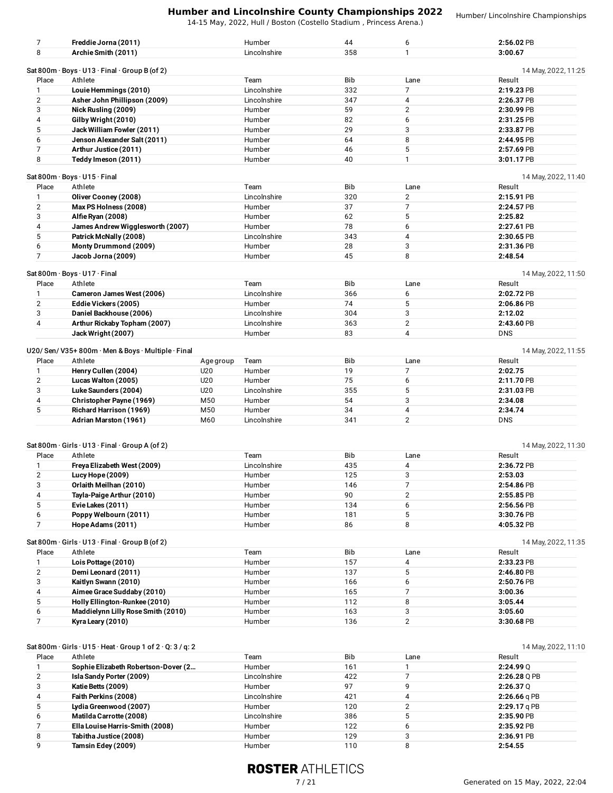14-15 May, 2022, Hull / Boston (Costello Stadium , Princess Arena.)

Humber/ Lincolnshire Championships

| 7              | Freddie Jorna (2011)                                                                     |           | Humber       | 44         | 6              | 2:56.02 PB                    |
|----------------|------------------------------------------------------------------------------------------|-----------|--------------|------------|----------------|-------------------------------|
| 8              | Archie Smith (2011)                                                                      |           | Lincolnshire | 358        | 1              | 3:00.67                       |
|                | Sat 800m $\cdot$ Boys $\cdot$ U13 $\cdot$ Final $\cdot$ Group B (of 2)                   |           |              |            |                | 14 May, 2022, 11:25           |
| Place          | Athlete                                                                                  |           | Team         | Bib        | Lane           | Result                        |
| 1              | Louie Hemmings (2010)                                                                    |           | Lincolnshire | 332        | 7              | 2:19.23 PB                    |
| $\overline{2}$ | Asher John Phillipson (2009)                                                             |           | Lincolnshire | 347        | 4              | 2:26.37 PB                    |
| 3              | Nick Rusling (2009)                                                                      |           | Humber       | 59         | 2              | 2:30.99 PB                    |
| 4              | Gilby Wright (2010)                                                                      |           | Humber       | 82         | 6              | 2:31.25 PB                    |
| 5              | Jack William Fowler (2011)                                                               |           | Humber       | 29         | 3              | 2:33.87 PB                    |
| 6              | Jenson Alexander Salt (2011)                                                             |           | Humber       | 64         | 8              | 2:44.95 PB                    |
| $\overline{7}$ | Arthur Justice (2011)                                                                    |           | Humber       | 46         | 5              | 2:57.69 PB                    |
| 8              | Teddy Imeson (2011)                                                                      |           | Humber       | 40         | 1              | 3:01.17 PB                    |
|                |                                                                                          |           |              |            |                |                               |
|                | Sat 800m · Boys · U15 · Final                                                            |           |              |            |                | 14 May, 2022, 11:40           |
| Place          | Athlete                                                                                  |           | Team         | Bib        | Lane           | Result                        |
| $\mathbf{1}$   | Oliver Cooney (2008)                                                                     |           | Lincolnshire | 320        | $\overline{2}$ | 2:15.91 PB                    |
| $\overline{2}$ | Max PS Holness (2008)                                                                    |           | Humber       | 37         | 7              | 2:24.57 PB                    |
| 3              | Alfie Ryan (2008)                                                                        |           | Humber       | 62         | 5              | 2:25.82                       |
| 4              | James Andrew Wigglesworth (2007)                                                         |           | Humber       | 78         | 6              | 2:27.61 PB                    |
| 5              | Patrick McNally (2008)                                                                   |           | Lincolnshire | 343        | 4              | 2:30.65 PB                    |
| 6              | Monty Drummond (2009)                                                                    |           | Humber       | 28         | 3              | 2:31.36 PB                    |
| $\overline{7}$ | Jacob Jorna (2009)                                                                       |           | Humber       | 45         | 8              | 2:48.54                       |
|                | Sat 800m · Boys · U17 · Final                                                            |           |              |            |                | 14 May, 2022, 11:50           |
| Place          | Athlete                                                                                  |           | Team         | <b>Bib</b> | Lane           | Result                        |
| 1              | Cameron James West (2006)                                                                |           | Lincolnshire | 366        | 6              | 2:02.72 PB                    |
| $\overline{2}$ | Eddie Vickers (2005)                                                                     |           | Humber       | 74         | 5              | 2:06.86 PB                    |
| 3              | Daniel Backhouse (2006)                                                                  |           | Lincolnshire | 304        | 3              | 2:12.02                       |
| 4              | Arthur Rickaby Topham (2007)                                                             |           | Lincolnshire | 363        | $\overline{2}$ | 2:43.60 PB                    |
|                | Jack Wright (2007)                                                                       |           | Humber       | 83         | 4              | <b>DNS</b>                    |
|                |                                                                                          |           |              |            |                |                               |
|                | U20/Sen/V35+800m · Men & Boys · Multiple · Final                                         |           |              |            |                | 14 May, 2022, 11:55           |
| Place          | Athlete                                                                                  | Age group | Team         | <b>Bib</b> | Lane           | Result                        |
| $\mathbf{1}$   | Henry Cullen (2004)                                                                      | U20       | Humber       | 19         | 7              | 2:02.75                       |
| $\overline{2}$ | Lucas Walton (2005)                                                                      | U20       | Humber       | 75         | 6              | 2:11.70 PB                    |
| 3              | Luke Saunders (2004)                                                                     | U20       | Lincolnshire | 355        | 5              | 2:31.03 PB                    |
| 4              | Christopher Payne (1969)                                                                 | M50       | Humber       | 54         | 3              | 2:34.08                       |
| 5              | Richard Harrison (1969)                                                                  | M50       | Humber       | 34         | 4              | 2:34.74                       |
|                | Adrian Marston (1961)                                                                    | M60       | Lincolnshire | 341        | $\overline{2}$ | <b>DNS</b>                    |
|                |                                                                                          |           |              |            |                |                               |
|                | Sat 800m · Girls · U13 · Final · Group A (of 2)                                          |           |              |            |                | 14 May, 2022, 11:30           |
| Place          | Athlete                                                                                  |           | Team         | <b>Bib</b> | Lane           | Result                        |
| $\mathbf{1}$   | Freya Elizabeth West (2009)                                                              |           | Lincolnshire | 435        | 4              | 2:36.72 PB                    |
| $\overline{2}$ | Lucy Hope (2009)                                                                         |           | Humber       | 125        | 3              | 2:53.03                       |
| 3              | Orlaith Meilhan (2010)                                                                   |           | Humber       | 146        | 7              | 2:54.86 PB                    |
| 4              | Tayla-Paige Arthur (2010)                                                                |           | Humber       | 90         | $\overline{2}$ | 2:55.85 PB                    |
| 5              | Evie Lakes (2011)                                                                        |           | Humber       | 134        | 6              | 2:56.56 PB                    |
| 6              | Poppy Welbourn (2011)                                                                    |           | Humber       | 181        | 5              | 3:30.76 PB                    |
| $\overline{7}$ | Hope Adams (2011)                                                                        |           | Humber       | 86         | 8              | 4:05.32 PB                    |
|                |                                                                                          |           |              |            |                |                               |
| Place          | Sat 800m $\cdot$ Girls $\cdot$ U13 $\cdot$ Final $\cdot$ Group B (of 2)<br>Athlete       |           | Team         | Bib        | Lane           | 14 May, 2022, 11:35<br>Result |
| 1              | Lois Pottage (2010)                                                                      |           | Humber       | 157        | 4              | 2:33.23 PB                    |
|                |                                                                                          |           |              | 137        | 5              |                               |
| $\mathbf{2}$   | Demi Leonard (2011)                                                                      |           | Humber       |            |                | 2:46.80 PB                    |
| 3              | Kaitlyn Swann (2010)                                                                     |           | Humber       | 166        | 6              | 2:50.76 PB                    |
| 4              | Aimee Grace Suddaby (2010)                                                               |           | Humber       | 165        | 7              | 3:00.36                       |
| 5              | Holly Ellington-Runkee (2010)                                                            |           | Humber       | 112        | 8              | 3:05.44                       |
| 6              | Maddielynn Lilly Rose Smith (2010)                                                       |           | Humber       | 163        | 3              | 3:05.60                       |
| $\overline{7}$ | Kyra Leary (2010)                                                                        |           | Humber       | 136        | 2              | 3:30.68 PB                    |
|                |                                                                                          |           |              |            |                |                               |
|                | Sat 800m $\cdot$ Girls $\cdot$ U15 $\cdot$ Heat $\cdot$ Group 1 of 2 $\cdot$ Q: 3 / q: 2 |           |              |            |                | 14 May, 2022, 11:10           |
| Place          | Athlete                                                                                  |           | Team         | Bib        | Lane           | Result                        |

| Place | Athlete                             | I eam        | <b>BID</b> | Lane | Result         |
|-------|-------------------------------------|--------------|------------|------|----------------|
|       | Sophie Elizabeth Robertson-Dover (2 | Humber       | 161        |      | 2:24.990       |
| 2     | Isla Sandy Porter (2009)            | Lincolnshire | 422        |      | $2:26.28$ Q PB |
| 3     | Katie Betts (2009)                  | Humber       | 97         |      | 2:26.370       |
| 4     | Faith Perkins (2008)                | Lincolnshire | 421        |      | $2:26.66$ g PB |
| 5     | Lydia Greenwood (2007)              | Humber       | 120        |      | $2:29.17$ a PB |
| 6     | Matilda Carrotte (2008)             | Lincolnshire | 386        |      | 2:35.90 PB     |
|       | Ella Louise Harris-Smith (2008)     | Humber       | 122        |      | 2:35.92 PB     |
| 8     | Tabitha Justice (2008)              | Humber       | 129        |      | 2:36.91 PB     |
| q     | Tamsin Edey (2009)                  | Humber       | 110        |      | 2:54.55        |
|       |                                     |              |            |      |                |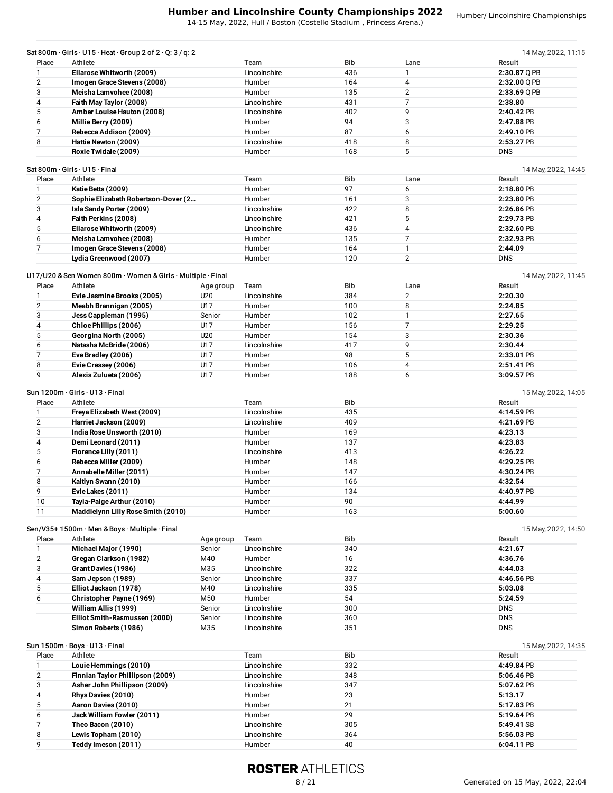14-15 May, 2022, Hull / Boston (Costello Stadium , Princess Arena.)

|                | Sat 800m $\cdot$ Girls $\cdot$ U15 $\cdot$ Heat $\cdot$ Group 2 of 2 $\cdot$ Q: 3 / q: 2 |           |              |            |                | 14 May, 2022, 11:15           |
|----------------|------------------------------------------------------------------------------------------|-----------|--------------|------------|----------------|-------------------------------|
| Place          | Athlete                                                                                  |           | Team         | Bib        | Lane           | Result                        |
| $\mathbf{1}$   | Ellarose Whitworth (2009)                                                                |           | Lincolnshire | 436        | 1              | 2:30.87 Q PB                  |
| $\overline{2}$ | Imogen Grace Stevens (2008)                                                              |           | Humber       | 164        | 4              | 2:32.00 Q PB                  |
| 3              | Meisha Lamvohee (2008)                                                                   |           | Humber       | 135        | 2              | $2:33.69$ Q PB                |
| 4              | Faith May Taylor (2008)                                                                  |           | Lincolnshire | 431        | 7              | 2:38.80                       |
| 5              | Amber Louise Hauton (2008)                                                               |           | Lincolnshire | 402        | 9              | 2:40.42 PB                    |
| 6              | Millie Berry (2009)                                                                      |           | Humber       | 94         | 3              | 2:47.88 PB                    |
| $\overline{7}$ | Rebecca Addison (2009)                                                                   |           | Humber       | 87         | 6              | 2:49.10 PB                    |
| 8              | Hattie Newton (2009)                                                                     |           | Lincolnshire | 418        | 8              | 2:53.27 PB                    |
|                |                                                                                          |           | Humber       | 168        | 5              | <b>DNS</b>                    |
|                | Roxie Twidale (2009)                                                                     |           |              |            |                |                               |
|                | Sat 800m · Girls · U15 · Final                                                           |           |              |            |                | 14 May, 2022, 14:45           |
| Place          | Athlete                                                                                  |           | Team         | <b>Bib</b> | Lane           | Result                        |
|                |                                                                                          |           |              | 97         |                |                               |
| $\mathbf{1}$   | Katie Betts (2009)                                                                       |           | Humber       |            | 6              | 2:18.80 PB                    |
| $\overline{2}$ | Sophie Elizabeth Robertson-Dover (2                                                      |           | Humber       | 161        | 3              | 2:23.80 PB                    |
| 3              | Isla Sandy Porter (2009)                                                                 |           | Lincolnshire | 422        | 8              | 2:26.86 PB                    |
| 4              | Faith Perkins (2008)                                                                     |           | Lincolnshire | 421        | 5              | 2:29.73 PB                    |
| 5              | Ellarose Whitworth (2009)                                                                |           | Lincolnshire | 436        | 4              | 2:32.60 PB                    |
| 6              | Meisha Lamvohee (2008)                                                                   |           | Humber       | 135        | $\overline{7}$ | 2:32.93 PB                    |
| $\overline{7}$ | Imogen Grace Stevens (2008)                                                              |           | Humber       | 164        | $\mathbf{1}$   | 2:44.09                       |
|                | Lydia Greenwood (2007)                                                                   |           | Humber       | 120        | $\overline{2}$ | <b>DNS</b>                    |
|                |                                                                                          |           |              |            |                |                               |
|                | U17/U20 & Sen Women 800m · Women & Girls · Multiple · Final                              |           |              |            |                | 14 May, 2022, 11:45           |
| Place          | Athlete                                                                                  | Age group | Team         | Bib        | Lane           | Result                        |
|                |                                                                                          |           |              |            |                |                               |
| $\mathbf{1}$   | Evie Jasmine Brooks (2005)                                                               | U20       | Lincolnshire | 384        | $\mathbf{2}$   | 2:20.30                       |
| 2              | Meabh Brannigan (2005)                                                                   | U17       | Humber       | 100        | 8              | 2:24.85                       |
| 3              | Jess Cappleman (1995)                                                                    | Senior    | Humber       | 102        | $\mathbf{1}$   | 2:27.65                       |
| 4              | Chloe Phillips (2006)                                                                    | U17       | Humber       | 156        | 7              | 2:29.25                       |
| 5              | Georgina North (2005)                                                                    | U20       | Humber       | 154        | 3              | 2:30.36                       |
| 6              | Natasha McBride (2006)                                                                   | U17       | Lincolnshire | 417        | 9              | 2:30.44                       |
| 7              | Eve Bradley (2006)                                                                       | U17       | Humber       | 98         | 5              | 2:33.01 PB                    |
|                |                                                                                          |           |              |            |                |                               |
| 8              | Evie Cressey (2006)                                                                      | U17       | Humber       | 106        | 4              | 2:51.41 PB                    |
| 9              | Alexis Zulueta (2006)                                                                    | U17       | Humber       | 188        | 6              | 3:09.57 PB                    |
| Place          | Sun 1200m · Girls · U13 · Final<br>Athlete                                               |           | Team         | Bib        |                | 15 May, 2022, 14:05<br>Result |
| 1              | Freya Elizabeth West (2009)                                                              |           | Lincolnshire | 435        |                | 4:14.59 PB                    |
| $\overline{2}$ |                                                                                          |           | Lincolnshire | 409        |                | 4:21.69 PB                    |
|                | Harriet Jackson (2009)                                                                   |           |              |            |                |                               |
| 3              | India Rose Unsworth (2010)                                                               |           | Humber       | 169        |                | 4:23.13                       |
| 4              | Demi Leonard (2011)                                                                      |           | Humber       | 137        |                | 4:23.83                       |
| 5              | Florence Lilly (2011)                                                                    |           | Lincolnshire | 413        |                | 4:26.22                       |
| 6              | Rebecca Miller (2009)                                                                    |           | Humber       | 148        |                | 4:29.25 PB                    |
| 7              | Annabelle Miller (2011)                                                                  |           | Humber       | 147        |                | 4:30.24 PB                    |
| 8              | Kaitlyn Swann (2010)                                                                     |           | Humber       | 166        |                | 4:32.54                       |
| 9              | Evie Lakes (2011)                                                                        |           |              |            |                |                               |
|                |                                                                                          |           | Humber       | 134        |                | 4:40.97 PB                    |
| 10             | Tayla-Paige Arthur (2010)                                                                |           | Humber       | 90         |                | 4:44.99                       |
| 11             | Maddielynn Lilly Rose Smith (2010)                                                       |           | Humber       | 163        |                | 5:00.60                       |
|                | Sen/V35+1500m · Men & Boys · Multiple · Final                                            |           |              |            |                | 15 May, 2022, 14:50           |
| Place          | Athlete                                                                                  | Age group | Team         | Bib        |                | Result                        |
| $\mathbf{1}$   | Michael Major (1990)                                                                     | Senior    | Lincolnshire | 340        |                | 4:21.67                       |
| $\overline{2}$ | Gregan Clarkson (1982)                                                                   | M40       | Humber       | 16         |                | 4:36.76                       |
| 3              | Grant Davies (1986)                                                                      | M35       | Lincolnshire | 322        |                | 4:44.03                       |
|                |                                                                                          |           |              |            |                |                               |
| 4              | Sam Jepson (1989)                                                                        | Senior    | Lincolnshire | 337        |                | 4:46.56 PB                    |
| 5              | Elliot Jackson (1978)                                                                    | M40       | Lincolnshire | 335        |                | 5:03.08                       |
| 6              | Christopher Payne (1969)                                                                 | M50       | Humber       | 54         |                | 5:24.59                       |
|                | William Allis (1999)                                                                     | Senior    | Lincolnshire | 300        |                | <b>DNS</b>                    |
|                | Elliot Smith-Rasmussen (2000)                                                            | Senior    | Lincolnshire | 360        |                | <b>DNS</b>                    |
|                | Simon Roberts (1986)                                                                     | M35       | Lincolnshire | 351        |                | <b>DNS</b>                    |
|                |                                                                                          |           |              |            |                |                               |
|                | Sun 1500m · Boys · U13 · Final                                                           |           |              |            |                | 15 May, 2022, 14:35           |
| Place          | Athlete                                                                                  |           | Team         | Bib        |                | Result                        |
| $\mathbf{1}$   | Louie Hemmings (2010)                                                                    |           | Lincolnshire | 332        |                | 4:49.84 PB                    |
| $\overline{2}$ | Finnian Taylor Phillipson (2009)                                                         |           | Lincolnshire | 348        |                | 5:06.46 PB                    |
| 3              | Asher John Phillipson (2009)                                                             |           | Lincolnshire | 347        |                | 5:07.62 PB                    |
| 4              | Rhys Davies (2010)                                                                       |           | Humber       | 23         |                | 5:13.17                       |
| 5              |                                                                                          |           | Humber       |            |                |                               |
|                | Aaron Davies (2010)                                                                      |           |              | 21         |                | 5:17.83 PB                    |
| 6              | Jack William Fowler (2011)                                                               |           | Humber       | 29         |                | 5:19.64 PB                    |
| $\overline{7}$ | Theo Bacon (2010)                                                                        |           | Lincolnshire | 305        |                | 5:49.41 SB                    |
|                |                                                                                          |           |              |            |                |                               |
| 8              | Lewis Topham (2010)                                                                      |           | Lincolnshire | 364        |                | 5:56.03 PB                    |
| 9              | Teddy Imeson (2011)                                                                      |           | Humber       | 40         |                | 6:04.11 PB                    |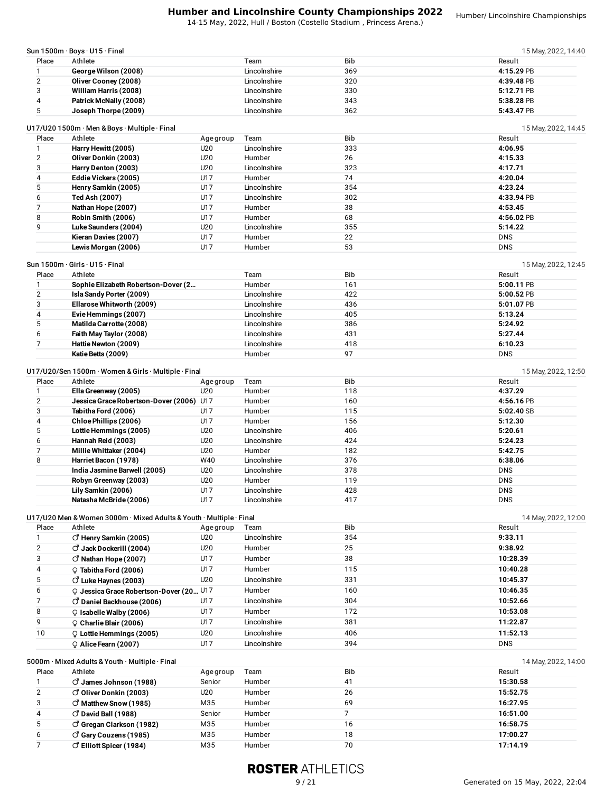14-15 May, 2022, Hull / Boston (Costello Stadium , Princess Arena.)

| Sun $1500m \cdot$ Boys $\cdot$ U15 $\cdot$ Final |              |            | 15 May, 2022, 14:40 |
|--------------------------------------------------|--------------|------------|---------------------|
| Athlete                                          | Team         | <b>Bib</b> | Result              |
| George Wilson (2008)                             | Lincolnshire | 369        | 4:15.29 PB          |
| Oliver Cooney (2008)                             | Lincolnshire | 320        | 4:39.48 PB          |
| William Harris (2008)                            | Lincolnshire | 330        | 5:12.71 PB          |
| Patrick McNally (2008)                           | Lincolnshire | 343        | 5:38.28 PB          |
| Joseph Thorpe (2009)                             | Lincolnshire | 362        | 5:43.47 PB          |
|                                                  |              |            |                     |

|       | U17/U20 1500m · Men & Boys · Multiple · Final |           |              |     | 15 May, 2022, 14:45 |
|-------|-----------------------------------------------|-----------|--------------|-----|---------------------|
| Place | Athlete                                       | Age group | Team         | Bib | Result              |
|       | Harry Hewitt (2005)                           | U20       | Lincolnshire | 333 | 4:06.95             |
|       | Oliver Donkin (2003)                          | U20       | Humber       | 26  | 4:15.33             |
|       | Harry Denton (2003)                           | U20       | Lincolnshire | 323 | 4:17.71             |
|       | Eddie Vickers (2005)                          | U17       | Humber       | 74  | 4:20.04             |
|       | Henry Samkin (2005)                           | U17       | Lincolnshire | 354 | 4:23.24             |
|       | Ted Ash (2007)                                | U17       | Lincolnshire | 302 | 4:33.94 PB          |
|       | Nathan Hope (2007)                            | U17       | Humber       | 38  | 4:53.45             |
|       | Robin Smith (2006)                            | U17       | Humber       | 68  | 4:56.02 PB          |
|       | Luke Saunders (2004)                          | U20       | Lincolnshire | 355 | 5:14.22             |
|       | Kieran Davies (2007)                          | U17       | Humber       | 22  | <b>DNS</b>          |
|       | Lewis Morgan (2006)                           | U17       | Humber       | 53  | <b>DNS</b>          |

| Sun 1500m $\cdot$ Girls $\cdot$ U15 $\cdot$ Final |  |  |
|---------------------------------------------------|--|--|
|                                                   |  |  |

|       | un 1500m · Girls · U15 · Final      |              |            | 15 May, 2022, 12:45 |
|-------|-------------------------------------|--------------|------------|---------------------|
| Place | Athlete                             | Team         | <b>Bib</b> | Result              |
|       | Sophie Elizabeth Robertson-Dover (2 | Humber       | 161        | $5:00.11$ PB        |
| 2     | Isla Sandy Porter (2009)            | Lincolnshire | 422        | $5:00.52$ PB        |
| 3     | Ellarose Whitworth (2009)           | Lincolnshire | 436        | 5:01.07 PB          |
| 4     | Evie Hemmings (2007)                | Lincolnshire | 405        | 5:13.24             |
|       | Matilda Carrotte (2008)             | Lincolnshire | 386        | 5:24.92             |
| 6     | Faith May Taylor (2008)             | Lincolnshire | 431        | 5:27.44             |
|       | Hattie Newton (2009)                | Lincolnshire | 418        | 6:10.23             |
|       | Katie Betts (2009)                  | Humber       | 97         | <b>DNS</b>          |

### U17/U20/Sen 1500m · Women & Girls · Multiple · Final 15 May, 2022, 12:50

| Place | Athlete                                  | Age group | Team         | <b>Bib</b> | Result     |
|-------|------------------------------------------|-----------|--------------|------------|------------|
|       | Ella Greenway (2005)                     | U20       | Humber       | 118        | 4:37.29    |
|       | Jessica Grace Robertson-Dover (2006) U17 |           | Humber       | 160        | 4:56.16 PB |
| 3     | Tabitha Ford (2006)                      | U17       | Humber       | 115        | 5:02.40 SB |
| 4     | Chloe Phillips (2006)                    | U17       | Humber       | 156        | 5:12.30    |
| 5     | Lottie Hemmings (2005)                   | U20       | Lincolnshire | 406        | 5:20.61    |
| 6     | Hannah Reid (2003)                       | U20       | Lincolnshire | 424        | 5:24.23    |
|       | Millie Whittaker (2004)                  | U20       | Humber       | 182        | 5:42.75    |
| 8     | Harriet Bacon (1978)                     | W40       | Lincolnshire | 376        | 6:38.06    |
|       | India Jasmine Barwell (2005)             | U20       | Lincolnshire | 378        | <b>DNS</b> |
|       | Robyn Greenway (2003)                    | U20       | Humber       | 119        | <b>DNS</b> |
|       | Lily Samkin (2006)                       | U17       | Lincolnshire | 428        | <b>DNS</b> |
|       | Natasha McBride (2006)                   | U17       | Lincolnshire | 417        | <b>DNS</b> |

|       | U17/U20 Men & Women 3000m · Mixed Adults & Youth · Multiple · Final |           |              |            | 14 May, 2022, 12:00 |
|-------|---------------------------------------------------------------------|-----------|--------------|------------|---------------------|
| Place | Athlete                                                             | Age group | Team         | <b>Bib</b> | Result              |
|       | $\circ$ Henry Samkin (2005)                                         | U20       | Lincolnshire | 354        | 9:33.11             |
|       | $\circlearrowleft$ Jack Dockerill (2004)                            | U20       | Humber       | 25         | 9:38.92             |
|       | $\circ$ Nathan Hope (2007)                                          | U17       | Humber       | 38         | 10:28.39            |
| 4     | $\circ$ Tabitha Ford (2006)                                         | U17       | Humber       | 115        | 10:40.28            |
| 5     | $\circ$ Luke Haynes (2003)                                          | U20       | Lincolnshire | 331        | 10:45.37            |
| 6     | Q Jessica Grace Robertson-Dover (20 U17                             |           | Humber       | 160        | 10:46.35            |
|       | $\circ$ Daniel Backhouse (2006)                                     | U17       | Lincolnshire | 304        | 10:52.66            |
| 8     | $\circ$ Isabelle Walby (2006)                                       | U17       | Humber       | 172        | 10:53.08            |
| 9     | $Q$ Charlie Blair (2006)                                            | U17       | Lincolnshire | 381        | 11:22.87            |
| 10    | $Q$ Lottie Hemmings (2005)                                          | U20       | Lincolnshire | 406        | 11:52.13            |
|       | $Q$ Alice Fearn (2007)                                              | U17       | Lincolnshire | 394        | <b>DNS</b>          |

|       | 5000m · Mixed Adults & Youth · Multiple · Final<br>14 May, 2022, 14:00 |           |        |     |          |  |
|-------|------------------------------------------------------------------------|-----------|--------|-----|----------|--|
| Place | Athlete                                                                | Age group | Team   | Bib | Result   |  |
|       | $\circ$ James Johnson (1988)                                           | Senior    | Humber | 41  | 15:30.58 |  |
|       | O Oliver Donkin (2003)                                                 | U20       | Humber | 26  | 15:52.75 |  |
|       | $\circ$ Matthew Snow (1985)                                            | M35       | Humber | 69  | 16:27.95 |  |
|       | $\circ$ David Ball (1988)                                              | Senior    | Humber |     | 16:51.00 |  |
|       | $\circ$ Gregan Clarkson (1982)                                         | M35       | Humber | 16  | 16:58.75 |  |
| 6     | C Gary Couzens (1985)                                                  | M35       | Humber | 18  | 17:00.27 |  |
|       | $\circ$ Elliott Spicer (1984)                                          | M35       | Humber | 70  | 17:14.19 |  |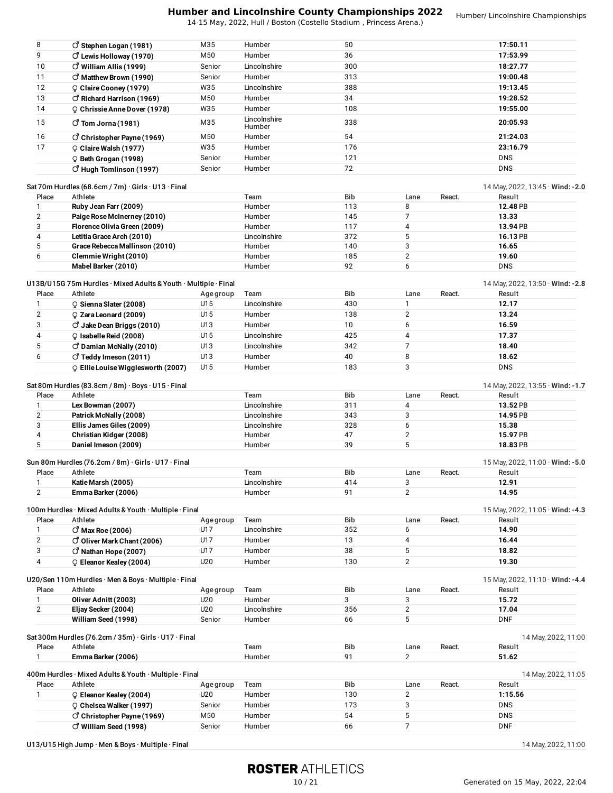14-15 May, 2022, Hull / Boston (Costello Stadium , Princess Arena.)

| Place<br>$\mathbf{1}$<br>Place<br>$\mathbf{1}$ | Emma Barker (2006)<br>400m Hurdles · Mixed Adults & Youth · Multiple · Final<br>Athlete<br>C Eleanor Kealey (2004)<br>Chelsea Walker (1997)<br>C Christopher Payne (1969)<br>$\vec{O}$ William Seed (1998) | Age group<br>U20<br>Senior<br>M50 | Team<br>Humber<br>Humber<br>Humber<br>Humber | Bib<br>130<br>173<br>54<br>66 | Lane<br>$\overline{2}$<br>3<br>5<br>7 | React. | Result<br>1:15.56<br><b>DNS</b><br><b>DNS</b><br><b>DNF</b> |
|------------------------------------------------|------------------------------------------------------------------------------------------------------------------------------------------------------------------------------------------------------------|-----------------------------------|----------------------------------------------|-------------------------------|---------------------------------------|--------|-------------------------------------------------------------|
|                                                |                                                                                                                                                                                                            |                                   |                                              |                               |                                       |        | 14 May, 2022, 11:05                                         |
|                                                |                                                                                                                                                                                                            |                                   |                                              |                               |                                       |        |                                                             |
|                                                |                                                                                                                                                                                                            |                                   |                                              |                               |                                       |        |                                                             |
|                                                |                                                                                                                                                                                                            |                                   |                                              |                               |                                       |        |                                                             |
|                                                |                                                                                                                                                                                                            |                                   |                                              |                               |                                       |        |                                                             |
|                                                |                                                                                                                                                                                                            |                                   |                                              |                               |                                       |        |                                                             |
|                                                |                                                                                                                                                                                                            |                                   | Humber                                       | 91                            | $\overline{2}$                        |        | 51.62                                                       |
|                                                | Sat 300m Hurdles (76.2cm / 35m) · Girls · U17 · Final<br>Athlete                                                                                                                                           |                                   | Team                                         | Bib                           | Lane                                  | React. | 14 May, 2022, 11:00<br>Result                               |
|                                                |                                                                                                                                                                                                            |                                   |                                              |                               |                                       |        |                                                             |
|                                                | William Seed (1998)                                                                                                                                                                                        | Senior                            | Humber                                       | 66                            | 5                                     |        | <b>DNF</b>                                                  |
| $\overline{2}$                                 | Eljay Secker (2004)                                                                                                                                                                                        | U20                               | Lincolnshire                                 | 356                           | $\overline{2}$                        |        | 17.04                                                       |
| $\mathbf{1}$                                   | Oliver Adnitt (2003)                                                                                                                                                                                       | U20                               | Humber                                       | 3                             | 3                                     |        | 15.72                                                       |
| Place                                          | Athlete                                                                                                                                                                                                    | Age group                         | Team                                         | Bib                           | Lane                                  | React. | Result                                                      |
|                                                | U20/Sen 110m Hurdles · Men & Boys · Multiple · Final                                                                                                                                                       |                                   |                                              |                               |                                       |        | 15 May, 2022, 11:10 · Wind: -4.4                            |
|                                                |                                                                                                                                                                                                            |                                   |                                              |                               |                                       |        |                                                             |
| 4                                              | C Eleanor Kealey (2004)                                                                                                                                                                                    | U20                               | Humber                                       | 130                           | $\overline{2}$                        |        | 19.30                                                       |
| 3                                              | $\vec{C}$ Nathan Hope (2007)                                                                                                                                                                               | U17                               | Humber                                       | 38                            | 5                                     |        | 18.82                                                       |
| 2                                              | O Oliver Mark Chant (2006)                                                                                                                                                                                 | U17                               | Humber                                       | 13                            | 4                                     |        | 16.44                                                       |
| $\mathbf{1}$                                   | $\circlearrowleft$ Max Roe (2006)                                                                                                                                                                          | U17                               | Lincolnshire                                 | 352                           | 6                                     |        | 14.90                                                       |
| Place                                          | Athlete                                                                                                                                                                                                    | Age group                         | Team                                         | Bib                           | Lane                                  | React. | Result                                                      |
|                                                | 100m Hurdles · Mixed Adults & Youth · Multiple · Final                                                                                                                                                     |                                   |                                              |                               |                                       |        | 15 May, 2022, 11:05 $\cdot$ Wind: -4.3                      |
|                                                |                                                                                                                                                                                                            |                                   |                                              |                               |                                       |        |                                                             |
| 2                                              | Emma Barker (2006)                                                                                                                                                                                         |                                   | Humber                                       | 91                            | $\mathbf{2}$                          |        | 14.95                                                       |
|                                                | Katie Marsh (2005)                                                                                                                                                                                         |                                   | Lincolnshire                                 | 414                           | 3                                     |        | 12.91                                                       |
| Place                                          | Athlete                                                                                                                                                                                                    |                                   | Team                                         | Bib                           | Lane                                  | React. | Result                                                      |
|                                                | Sun 80m Hurdles (76.2cm / 8m) · Girls · U17 · Final                                                                                                                                                        |                                   |                                              |                               |                                       |        | 15 May, 2022, 11:00 $\cdot$ Wind: -5.0                      |
|                                                |                                                                                                                                                                                                            |                                   |                                              |                               |                                       |        |                                                             |
| 5                                              | Daniel Imeson (2009)                                                                                                                                                                                       |                                   | Humber                                       | 39                            | 5                                     |        | 18.83 PB                                                    |
| 4                                              | Christian Kidger (2008)                                                                                                                                                                                    |                                   | Humber                                       | 47                            | 2                                     |        | 15.97 PB                                                    |
| 3                                              | Ellis James Giles (2009)                                                                                                                                                                                   |                                   | Lincolnshire                                 | 328                           | 6                                     |        | 15.38                                                       |
| $\overline{\mathbf{c}}$                        | Patrick McNally (2008)                                                                                                                                                                                     |                                   | Lincolnshire                                 | 343                           | 3                                     |        | 14.95 PB                                                    |
| 1                                              | Lex Bowman (2007)                                                                                                                                                                                          |                                   | Lincolnshire                                 | 311                           | 4                                     |        | 13.52 PB                                                    |
| Place                                          | Athlete                                                                                                                                                                                                    |                                   | Team                                         | Bib                           | Lane                                  | React. | Result                                                      |
|                                                | Sat 80m Hurdles (83.8cm / 8m) · Boys · U15 · Final                                                                                                                                                         |                                   |                                              |                               |                                       |        | 14 May, 2022, 13:55 $\cdot$ Wind: -1.7                      |
|                                                | $\circ$ Ellie Louise Wigglesworth (2007)                                                                                                                                                                   |                                   |                                              |                               |                                       |        |                                                             |
|                                                |                                                                                                                                                                                                            | U15                               | Humber                                       | 183                           | 3                                     |        | <b>DNS</b>                                                  |
| 6                                              | $\vec{O}$ Teddy Imeson (2011)                                                                                                                                                                              | U13                               | Humber                                       | 40                            | 8                                     |        | 18.62                                                       |
| 5                                              | C Damian McNally (2010)                                                                                                                                                                                    | U13                               | Lincolnshire                                 | 342                           | 7                                     |        | 18.40                                                       |
| 4                                              | C Isabelle Reid (2008)                                                                                                                                                                                     | U15                               | Lincolnshire                                 | 425                           | 4                                     |        | 17.37                                                       |
| 3                                              | $\vec{C}$ Jake Dean Briggs (2010)                                                                                                                                                                          | U13                               | Humber                                       | 10                            | 6                                     |        | 16.59                                                       |
| $\overline{2}$                                 | Q Zara Leonard (2009)                                                                                                                                                                                      | U15                               | Humber                                       | 138                           | 2                                     |        | 13.24                                                       |
| $\mathbf{1}$                                   | C Sienna Slater (2008)                                                                                                                                                                                     | U15                               | Lincolnshire                                 | 430                           | 1                                     |        | 12.17                                                       |
| Place                                          | Athlete                                                                                                                                                                                                    | Age group                         | Team                                         | Bib                           | Lane                                  | React. | Result                                                      |
|                                                | U13B/U15G 75m Hurdles · Mixed Adults & Youth · Multiple · Final                                                                                                                                            |                                   |                                              |                               |                                       |        | 14 May, 2022, 13:50 $\cdot$ Wind: -2.8                      |
|                                                |                                                                                                                                                                                                            |                                   |                                              |                               |                                       |        |                                                             |
|                                                | Mabel Barker (2010)                                                                                                                                                                                        |                                   | Humber                                       | 92                            | 6                                     |        | <b>DNS</b>                                                  |
| 6                                              | Clemmie Wright (2010)                                                                                                                                                                                      |                                   | Humber                                       | 185                           | 2                                     |        | 19.60                                                       |
| 5                                              | Grace Rebecca Mallinson (2010)                                                                                                                                                                             |                                   | Humber                                       | 140                           | 3                                     |        | 16.65                                                       |
| 4                                              | Letitia Grace Arch (2010)                                                                                                                                                                                  |                                   | Lincolnshire                                 | 372                           | 5                                     |        | 16.13 PB                                                    |
| 3                                              | Florence Olivia Green (2009)                                                                                                                                                                               |                                   | Humber                                       | 117                           | 4                                     |        | 13.94 PB                                                    |
| $\overline{2}$                                 | Paige Rose McInerney (2010)                                                                                                                                                                                |                                   | Humber                                       | 145                           | 7                                     |        | 13.33                                                       |
| $\mathbf{1}$                                   | Ruby Jean Farr (2009)                                                                                                                                                                                      |                                   | Humber                                       | 113                           | 8                                     |        | 12.48 PB                                                    |
| Place                                          | Athlete                                                                                                                                                                                                    |                                   | Team                                         | Bib                           | Lane                                  | React. | Result                                                      |
|                                                | Sat 70m Hurdles (68.6cm / 7m) · Girls · U13 · Final                                                                                                                                                        |                                   |                                              |                               |                                       |        | 14 May, 2022, 13:45 $\cdot$ Wind: -2.0                      |
|                                                | C Hugh Tomlinson (1997)                                                                                                                                                                                    | Senior                            | Humber                                       | 72                            |                                       |        | <b>DNS</b>                                                  |
|                                                | C Beth Grogan (1998)                                                                                                                                                                                       | Senior                            | Humber                                       | 121                           |                                       |        | <b>DNS</b>                                                  |
| 17                                             | Claire Walsh (1977)                                                                                                                                                                                        | W35                               | Humber                                       | 176                           |                                       |        | 23:16.79                                                    |
| 16                                             | $\vec{O}$ Christopher Payne (1969)                                                                                                                                                                         | M50                               | Humber                                       |                               |                                       |        | 21:24.03                                                    |
|                                                |                                                                                                                                                                                                            |                                   | Humber                                       | 54                            |                                       |        |                                                             |
| 15                                             | $\vec{O}$ Tom Jorna (1981)                                                                                                                                                                                 | M35                               | Lincolnshire                                 | 338                           |                                       |        | 20:05.93                                                    |
| 14                                             | $Q$ Chrissie Anne Dover (1978)                                                                                                                                                                             | W35                               | Humber                                       | 108                           |                                       |        | 19:55.00                                                    |
| 13                                             | $\circ$ Richard Harrison (1969)                                                                                                                                                                            | M50                               | Humber                                       | 34                            |                                       |        | 19:28.52                                                    |
| 12                                             | Caire Cooney (1979)                                                                                                                                                                                        | W35                               | Lincolnshire                                 | 388                           |                                       |        | 19:13.45                                                    |
| 11                                             | $\vec{O}$ Matthew Brown (1990)                                                                                                                                                                             | Senior                            | Humber                                       | 313                           |                                       |        | 19:00.48                                                    |
| 10                                             | $\vec{O}$ William Allis (1999)                                                                                                                                                                             | Senior                            | Lincolnshire                                 | 300                           |                                       |        | 18:27.77                                                    |
| 9                                              | C Lewis Holloway (1970)                                                                                                                                                                                    | M50                               | Humber                                       | 36                            |                                       |        | 17:53.99                                                    |
|                                                | $\vec{O}$ Stephen Logan (1981)                                                                                                                                                                             | M35                               | Humber                                       | 50                            |                                       |        | 17:50.11                                                    |
| 8                                              |                                                                                                                                                                                                            |                                   |                                              |                               |                                       |        |                                                             |

U13/U15 High Jump · Men & Boys · Multiple · Final 2002, 11:00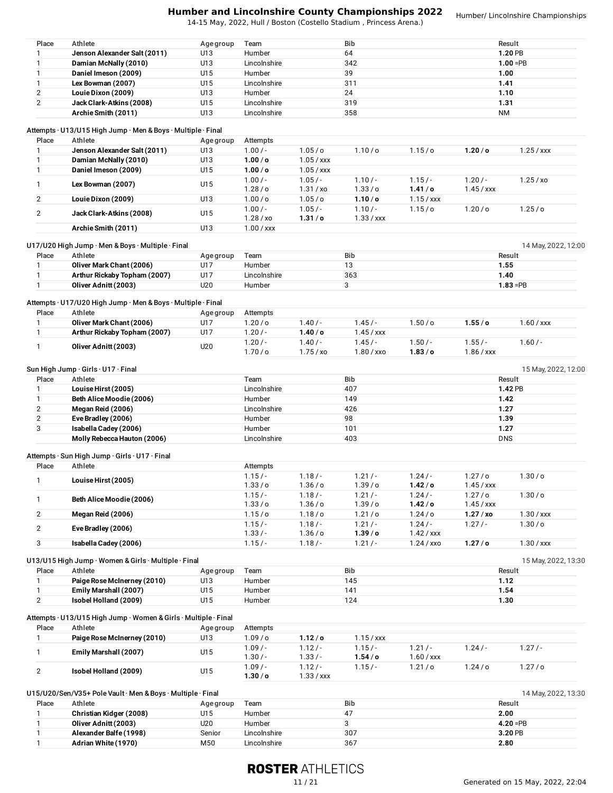|                              |                                                                            |               |                        |                      | <b>Humber and Lincolnshire County Championships 2022</b><br>14-15 May, 2022, Hull / Boston (Costello Stadium, Princess Arena.) |                          |                    | Humber/ Lincolnshire Championships |
|------------------------------|----------------------------------------------------------------------------|---------------|------------------------|----------------------|--------------------------------------------------------------------------------------------------------------------------------|--------------------------|--------------------|------------------------------------|
| Place                        | Athlete                                                                    | Age group     | Team                   |                      | Bib                                                                                                                            |                          |                    | Result                             |
| 1                            | Jenson Alexander Salt (2011)                                               | U13           | Humber                 |                      | 64                                                                                                                             |                          |                    | 1.20 PB                            |
| $\mathbf{1}$                 | Damian McNally (2010)                                                      | U13           | Lincolnshire           |                      | 342                                                                                                                            |                          |                    | $1.00 = PB$                        |
| $\mathbf{1}$                 | Daniel Imeson (2009)                                                       | U15           | Humber                 |                      | 39                                                                                                                             |                          | 1.00               |                                    |
| $\mathbf{1}$                 | Lex Bowman (2007)                                                          | U15           | Lincolnshire           |                      | 311                                                                                                                            |                          | 1.41               |                                    |
| 2                            | Louie Dixon (2009)                                                         | U13           | Humber                 |                      | 24                                                                                                                             |                          | 1.10               |                                    |
|                              | Jack Clark-Atkins (2008)                                                   | U15           | Lincolnshire           |                      | 319                                                                                                                            |                          | 1.31               |                                    |
| $\overline{2}$               | Archie Smith (2011)                                                        | U13           | Lincolnshire           |                      | 358                                                                                                                            |                          | <b>NM</b>          |                                    |
|                              | Attempts · U13/U15 High Jump · Men & Boys · Multiple · Final               |               |                        |                      |                                                                                                                                |                          |                    |                                    |
| Place                        | Athlete                                                                    | Age group     | Attempts               |                      |                                                                                                                                |                          |                    |                                    |
| $\mathbf{1}$                 | Jenson Alexander Salt (2011)                                               | U13           | $1.00/-$               | 1.05 / o             | 1.10/ <sub>o</sub>                                                                                                             | 1.15/°                   | 1.20 / o           | $1.25 /$ xxx                       |
|                              | Damian McNally (2010)                                                      | U13           | 1.00 / o               | $1.05 /$ xxx         |                                                                                                                                |                          |                    |                                    |
| $\mathbf{1}$                 | Daniel Imeson (2009)                                                       | U15           | 1.00 / o               | $1.05 /$ xxx         |                                                                                                                                |                          |                    |                                    |
| 1                            | Lex Bowman (2007)                                                          | U15           | $1.00/-$               | $1.05/-$             | $1.10/-$                                                                                                                       | $1.15/-$                 | $1.20/-$           | 1.25 / xo                          |
|                              |                                                                            |               | 1.28/0                 | 1.31 / xo            | 1.33/0                                                                                                                         | 1.41/o                   | $1.45 /$ xxx       |                                    |
| $\overline{2}$               | Louie Dixon (2009)                                                         | U13           | 1.00 / o               | 1.05/c               | 1.10/ <sub>o</sub>                                                                                                             | $1.15 /$ xxx             |                    |                                    |
| $\overline{2}$               |                                                                            |               | $1.00/-$               | $1.05/-$             | $1.10/-$                                                                                                                       | 1.15/°                   | 1.20 / o           | 1.25/°                             |
|                              | Jack Clark-Atkins (2008)                                                   | U15           | 1.28 / xo              | 1.31/c               | $1.33 /$ xxx                                                                                                                   |                          |                    |                                    |
|                              | Archie Smith (2011)                                                        | U13           | $1.00 /$ xxx           |                      |                                                                                                                                |                          |                    |                                    |
|                              | U17/U20 High Jump · Men & Boys · Multiple · Final<br>Athlete               |               | Team                   |                      | Bib                                                                                                                            |                          |                    | 14 May, 2022, 12:00<br>Result      |
| Place                        |                                                                            | Age group     |                        |                      |                                                                                                                                |                          |                    |                                    |
| $\mathbf{1}$                 | Oliver Mark Chant (2006)                                                   | U17           | Humber                 |                      | 13                                                                                                                             |                          | 1.55               |                                    |
|                              | Arthur Rickaby Topham (2007)                                               | U17           | Lincolnshire           |                      | 363                                                                                                                            |                          | 1.40               |                                    |
|                              | Oliver Adnitt (2003)                                                       | U20           | Humber                 |                      | 3                                                                                                                              |                          |                    | $1.83 = PB$                        |
| Place                        | Attempts · U17/U20 High Jump · Men & Boys · Multiple · Final<br>Athlete    | Age group     | Attempts               |                      |                                                                                                                                |                          |                    |                                    |
|                              | Oliver Mark Chant (2006)                                                   | U17           | 1.20 / o               | $1.40/-$             | $1.45/-$                                                                                                                       | $1.50/$ o                | 1.55/6             | $1.60 /$ xxx                       |
|                              | Arthur Rickaby Topham (2007)                                               | U17           | $1.20/-$               | 1.40/o               | $1.45 /$ xxx                                                                                                                   |                          |                    |                                    |
|                              |                                                                            |               | $1.20/-$               | $1.40/-$             | $1.45/-$                                                                                                                       | $1.50/-$                 | 1.55/              |                                    |
|                              | Oliver Adnitt (2003)                                                       | U20           | 1.70/o                 | 1.75 / xo            | $1.80 /$ xxo                                                                                                                   | 1.83/ <sub>0</sub>       | $1.86 /$ xxx       | $1.60/-$                           |
|                              | Sun High Jump · Girls · U17 · Final                                        |               |                        |                      |                                                                                                                                |                          |                    | 15 May, 2022, 12:00                |
| Place                        | Athlete                                                                    |               | Team                   |                      | Bib                                                                                                                            |                          |                    | Result                             |
|                              | Louise Hirst (2005)                                                        |               | Lincolnshire           |                      | 407                                                                                                                            |                          |                    | 1.42 PB                            |
|                              | Beth Alice Moodie (2006)                                                   |               | Humber                 |                      | 149                                                                                                                            |                          | 1.42               |                                    |
|                              | Megan Reid (2006)                                                          |               | Lincolnshire           |                      | 426                                                                                                                            |                          | 1.27               |                                    |
|                              |                                                                            |               | Humber                 |                      |                                                                                                                                |                          |                    |                                    |
| $\mathbf{2}$<br>3            | Eve Bradley (2006)                                                         |               |                        |                      | 98                                                                                                                             |                          | 1.39               |                                    |
|                              | Isabella Cadey (2006)                                                      |               | Humber                 |                      | 101                                                                                                                            |                          | 1.27               |                                    |
|                              | Molly Rebecca Hauton (2006)                                                |               | Lincolnshire           |                      | 403                                                                                                                            |                          | <b>DNS</b>         |                                    |
| Place                        | Attempts · Sun High Jump · Girls · U17 · Final<br>Athlete                  |               | Attempts               |                      |                                                                                                                                |                          |                    |                                    |
| $\mathbf{1}$                 |                                                                            |               | $1.15/-$               | $1.18/-$             | $1.21/-$                                                                                                                       | 1.24/                    | 1.27/0             | 1.30 / o                           |
|                              | Louise Hirst (2005)                                                        |               | 1.33 / o               | 1.36 / o             | 1.39/0                                                                                                                         | $1.42/$ o                | $1.45 /$ xxx       |                                    |
|                              |                                                                            |               | $1.15/-$               | $1.18/-$             | $1.21/-$                                                                                                                       | $1.24/-$                 | 1.27/o             | 1.30 / o                           |
|                              | Beth Alice Moodie (2006)                                                   |               | 1.33 / o               | 1.36/ <sub>o</sub>   | 1.39/0                                                                                                                         | 1.42/o                   | $1.45 /$ xxx       |                                    |
|                              | Megan Reid (2006)                                                          |               | 1.15/c                 | 1.18/0               | 1.21/°                                                                                                                         | 1.24/°                   | 1.27/xo            | $1.30 /$ xxx                       |
|                              |                                                                            |               | $1.15/-$               | $1.18/-$             | $1.21/-$                                                                                                                       | $1.24/-$                 | $1.27/-$           | 1.30 / o                           |
|                              | Eve Bradley (2006)                                                         |               | $1.33/-$               | 1.36 / o             | $1.39/$ o                                                                                                                      | $1.42 /$ xxx             |                    |                                    |
|                              | Isabella Cadey (2006)                                                      |               | $1.15/-$               | $1.18/-$             | $1.21/-$                                                                                                                       | $1.24$ / xxo             | 1.27/ <sub>o</sub> | $1.30 /$ xxx                       |
|                              | U13/U15 High Jump · Women & Girls · Multiple · Final                       |               |                        |                      |                                                                                                                                |                          |                    | 15 May, 2022, 13:30                |
| Place                        | Athlete                                                                    | Age group     | Team                   |                      | Bib                                                                                                                            |                          |                    | Result                             |
|                              | Paige Rose McInerney (2010)                                                | U13           | Humber                 |                      | 145                                                                                                                            |                          | 1.12               |                                    |
|                              | Emily Marshall (2007)                                                      | U15           | Humber                 |                      | 141                                                                                                                            |                          | 1.54               |                                    |
|                              | Isobel Holland (2009)                                                      | U15           | Humber                 |                      | 124                                                                                                                            |                          | 1.30               |                                    |
|                              |                                                                            |               |                        |                      |                                                                                                                                |                          |                    |                                    |
| Place                        | Attempts · U13/U15 High Jump · Women & Girls · Multiple · Final<br>Athlete | Age group     | Attempts               |                      |                                                                                                                                |                          |                    |                                    |
|                              | Paige Rose McInerney (2010)                                                | U13           | 1.09/o                 | 1.12/ <sub>o</sub>   | $1.15 /$ xxx                                                                                                                   |                          |                    |                                    |
|                              | Emily Marshall (2007)                                                      | U15           | $1.09/-$<br>$1.30/-$   | $1.12/-$<br>$1.33/-$ | $1.15/-$<br>1.54/ <sub>o</sub>                                                                                                 | $1.21/-$<br>$1.60 /$ xxx | $1.24/-$           | $1.27/-$                           |
|                              | Isobel Holland (2009)                                                      | U15           | $1.09/-$               | $1.12/-$             | $1.15/-$                                                                                                                       | 1.21/o                   | 1.24/°             | 1.27/o                             |
|                              |                                                                            |               | 1.30 / o               | $1.33 /$ xxx         |                                                                                                                                |                          |                    |                                    |
|                              | U15/U20/Sen/V35+ Pole Vault · Men & Boys · Multiple · Final                |               |                        |                      |                                                                                                                                |                          |                    | 14 May, 2022, 13:30                |
| Place                        | Athlete                                                                    | Age group     | Team                   |                      | Bib                                                                                                                            |                          |                    | Result                             |
|                              | Christian Kidger (2008)                                                    | U15           | Humber                 |                      | 47                                                                                                                             |                          | 2.00               |                                    |
| $\mathbf{1}$<br>$\mathbf{1}$ | Oliver Adnitt (2003)<br>Alexander Balfe (1998)                             | U20<br>Senior | Humber<br>Lincolnshire |                      | 3<br>307                                                                                                                       |                          |                    | $4.20 = PB$<br>3.20 PB             |
|                              |                                                                            |               |                        |                      |                                                                                                                                |                          |                    |                                    |

# **ROSTER ATHLETICS**

1 **Alexander Balfe (1998)** Senior Lincolnshire 307 **3.20** PB 1 **Adrian White (1970)** M50 Lincolnshire 367 **2.80**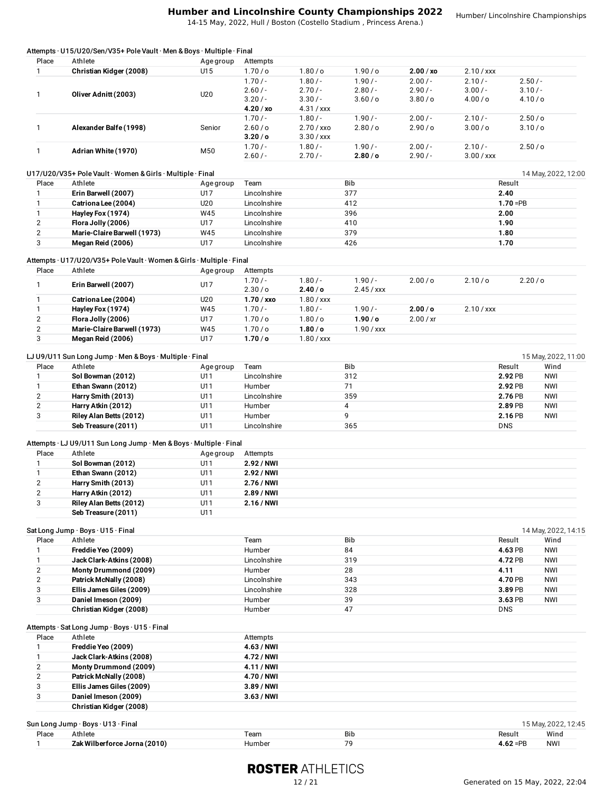14-15 May, 2022, Hull / Boston (Costello Stadium , Princess Arena.)

| Place          | Athlete                                                               | Age group | Attempts           |                    |                    |           |              |                       |                     |
|----------------|-----------------------------------------------------------------------|-----------|--------------------|--------------------|--------------------|-----------|--------------|-----------------------|---------------------|
| $\mathbf{1}$   | Christian Kidger (2008)                                               | U15       | 1.70/o             | 1.80/o             | 1.90/o             | 2.00 / xo | $2.10 /$ xxx |                       |                     |
|                |                                                                       |           | $1.70/-$           | $1.80/-$           | $1.90/-$           | $2.00/-$  | $2.10/-$     | $2.50/-$              |                     |
|                |                                                                       |           | $2.60/-$           | $2.70/-$           | $2.80/-$           | $2.90/-$  | $3.00/-$     | $3.10/-$              |                     |
| $\mathbf{1}$   | Oliver Adnitt (2003)                                                  | U20       | $3.20/-$           | $3.30/-$           | 3.60 / o           | 3.80 / o  | 4.00 / o     | 4.10/ <sub>O</sub>    |                     |
|                |                                                                       |           | 4.20/xo            |                    |                    |           |              |                       |                     |
|                |                                                                       |           |                    | $4.31 /$ xxx       |                    |           |              |                       |                     |
|                |                                                                       |           | $1.70/-$           | $1.80/-$           | $1.90/-$           | $2.00/-$  | $2.10/-$     | 2.50/°                |                     |
| 1              | Alexander Balfe (1998)                                                | Senior    | 2.60/o             | 2.70 / xxo         | 2.80/ <sub>o</sub> | 2.90/o    | 3.00/o       | 3.10/0                |                     |
|                |                                                                       |           | 3.20 / o           | $3.30 /$ xxx       |                    |           |              |                       |                     |
| $\mathbf{1}$   | Adrian White (1970)                                                   | M50       | $1.70/-$           | $1.80/-$           | $1.90/-$           | $2.00/-$  | $2.10/-$     | 2.50/°                |                     |
|                |                                                                       |           | $2.60/-$           | $2.70/-$           | 2.80/ <sub>o</sub> | $2.90/-$  | $3.00 /$ xxx |                       |                     |
|                |                                                                       |           |                    |                    |                    |           |              |                       |                     |
|                | U17/U20/V35+ Pole Vault · Women & Girls · Multiple · Final            |           |                    |                    |                    |           |              |                       | 14 May, 2022, 12:00 |
| Place          | Athlete                                                               | Age group | Team               |                    | Bib                |           |              | Result                |                     |
| 1              | Erin Barwell (2007)                                                   | U17       | Lincolnshire       |                    | 377                |           |              | 2.40                  |                     |
| 1              | Catriona Lee (2004)                                                   | U20       | Lincolnshire       |                    | 412                |           |              | $1.70 = PB$           |                     |
| $\mathbf{1}$   | Hayley Fox (1974)                                                     | W45       | Lincolnshire       |                    | 396                |           |              | 2.00                  |                     |
|                |                                                                       |           |                    |                    |                    |           |              |                       |                     |
| $\mathbf{2}$   | Flora Jolly (2006)                                                    | U17       | Lincolnshire       |                    | 410                |           |              | 1.90                  |                     |
| $\overline{2}$ | Marie-Claire Barwell (1973)                                           | W45       | Lincolnshire       |                    | 379                |           |              | 1.80                  |                     |
| 3              | Megan Reid (2006)                                                     | U17       | Lincolnshire       |                    | 426                |           |              | 1.70                  |                     |
|                |                                                                       |           |                    |                    |                    |           |              |                       |                     |
|                | Attempts · U17/U20/V35+ Pole Vault · Women & Girls · Multiple · Final |           |                    |                    |                    |           |              |                       |                     |
| Place          | Athlete                                                               | Age group | Attempts           |                    |                    |           |              |                       |                     |
|                |                                                                       |           | $1.70/-$           | $1.80/-$           | $1.90/-$           | 2.00/o    | 2.10/o       | 2.20/0                |                     |
| $\mathbf{1}$   | Erin Barwell (2007)                                                   | U17       | 2.30/ <sub>o</sub> | 2.40/o             | $2.45 /$ xxx       |           |              |                       |                     |
| 1              | Catriona Lee (2004)                                                   | U20       | $1.70 /$ xxo       | $1.80 /$ xxx       |                    |           |              |                       |                     |
|                |                                                                       |           |                    |                    |                    |           |              |                       |                     |
| $\mathbf{1}$   | Hayley Fox (1974)                                                     | W45       | $1.70/-$           | $1.80/-$           | $1.90/-$           | 2.00 / o  | $2.10 /$ xxx |                       |                     |
| $\mathbf{2}$   | Flora Jolly (2006)                                                    | U17       | 1.70/o             | $1.80$ /o          | 1.90/o             | 2.00 / xr |              |                       |                     |
| $\overline{2}$ | Marie-Claire Barwell (1973)                                           | W45       | 1.70 / o           | 1.80/ <sub>o</sub> | $1.90 /$ xxx       |           |              |                       |                     |
| 3              | Megan Reid (2006)                                                     | U17       | 1.70/ <sub>o</sub> | $1.80 /$ xxx       |                    |           |              |                       |                     |
|                |                                                                       |           |                    |                    |                    |           |              |                       |                     |
|                | LJ U9/U11 Sun Long Jump · Men & Boys · Multiple · Final               |           |                    |                    |                    |           |              |                       | 15 May, 2022, 11:00 |
| Place          | Athlete                                                               | Age group | Team               |                    | Bib                |           |              | Result                | Wind                |
| 1              | Sol Bowman (2012)                                                     | U11       | Lincolnshire       |                    | 312                |           |              | 2.92 PB               | <b>NWI</b>          |
| $\mathbf{1}$   | Ethan Swann (2012)                                                    | U11       | Humber             |                    | 71                 |           |              | 2.92 PB               | <b>NWI</b>          |
|                |                                                                       |           |                    |                    |                    |           |              |                       |                     |
| $\mathbf{2}$   | Harry Smith (2013)                                                    | U11       | Lincolnshire       |                    | 359                |           |              | 2.76 PB               | <b>NWI</b>          |
| $\mathbf{2}$   | Harry Atkin (2012)                                                    | U11       | Humber             |                    | 4                  |           |              | 2.89 PB               | <b>NWI</b>          |
| 3              | Riley Alan Betts (2012)                                               | U11       | Humber             |                    | 9                  |           |              | 2.16 PB               | <b>NWI</b>          |
|                | Seb Treasure (2011)                                                   | U11       | Lincolnshire       |                    | 365                |           |              | <b>DNS</b>            |                     |
|                |                                                                       |           |                    |                    |                    |           |              |                       |                     |
|                | Attempts · LJ U9/U11 Sun Long Jump · Men & Boys · Multiple · Final    |           |                    |                    |                    |           |              |                       |                     |
| Place          | Athlete                                                               | Age group | Attempts           |                    |                    |           |              |                       |                     |
| 1              | Sol Bowman (2012)                                                     | U11       | 2.92 / NWI         |                    |                    |           |              |                       |                     |
| $\mathbf{1}$   | Ethan Swann (2012)                                                    | U11       | 2.92 / NWI         |                    |                    |           |              |                       |                     |
|                |                                                                       |           |                    |                    |                    |           |              |                       |                     |
| 2              | Harry Smith (2013)                                                    | U11       | 2.76 / NWI         |                    |                    |           |              |                       |                     |
| $\mathbf{2}$   | Harry Atkin (2012)                                                    | U11       | 2.89 / NWI         |                    |                    |           |              |                       |                     |
| 3              | Riley Alan Betts (2012)                                               | U11       | 2.16 / NWI         |                    |                    |           |              |                       |                     |
|                | Seb Treasure (2011)                                                   | U11       |                    |                    |                    |           |              |                       |                     |
|                |                                                                       |           |                    |                    |                    |           |              |                       |                     |
|                | Sat Long Jump · Boys · U15 · Final                                    |           |                    |                    |                    |           |              |                       | 14 May, 2022, 14:15 |
| Place          | Athlete                                                               |           | Team               |                    | Bib                |           |              | Result                | Wind                |
| 1              | Freddie Yeo (2009)                                                    |           | Humber             |                    | 84                 |           |              | 4.63 PB               | <b>NWI</b>          |
|                |                                                                       |           |                    |                    | 319                |           |              |                       |                     |
| 1              | Jack Clark-Atkins (2008)                                              |           | Lincolnshire       |                    |                    |           |              | 4.72 PB               | <b>NWI</b>          |
|                | Monty Drummond (2009)                                                 |           | Humber             |                    | 28                 |           |              | 4.11                  | <b>NWI</b>          |
| $\mathbf{2}$   | Patrick McNally (2008)                                                |           | Lincolnshire       |                    | 343                |           |              | 4.70 PB               | <b>NWI</b>          |
| $\overline{2}$ | Ellis James Giles (2009)                                              |           | Lincolnshire       |                    | 328                |           |              | 3.89 PB               | <b>NWI</b>          |
| 3              |                                                                       |           |                    |                    | 39                 |           |              | 3.63 PB               | <b>NWI</b>          |
| 3              | Daniel Imeson (2009)                                                  |           | Humber             |                    |                    |           |              | <b>DNS</b>            |                     |
|                |                                                                       |           |                    |                    |                    |           |              |                       |                     |
|                | Christian Kidger (2008)                                               |           | Humber             |                    | 47                 |           |              |                       |                     |
|                |                                                                       |           |                    |                    |                    |           |              |                       |                     |
|                | Attempts · Sat Long Jump · Boys · U15 · Final                         |           |                    |                    |                    |           |              |                       |                     |
| Place          | Athlete                                                               |           | Attempts           |                    |                    |           |              |                       |                     |
| 1              | Freddie Yeo (2009)                                                    |           | 4.63 / NWI         |                    |                    |           |              |                       |                     |
| 1              | Jack Clark-Atkins (2008)                                              |           | 4.72 / NWI         |                    |                    |           |              |                       |                     |
| $\overline{2}$ | Monty Drummond (2009)                                                 |           | 4.11/NWI           |                    |                    |           |              |                       |                     |
| $\mathbf{2}$   | Patrick McNally (2008)                                                |           | 4.70 / NWI         |                    |                    |           |              |                       |                     |
| 3              | Ellis James Giles (2009)                                              |           | 3.89 / NWI         |                    |                    |           |              |                       |                     |
| 3              |                                                                       |           |                    |                    |                    |           |              |                       |                     |
|                | Daniel Imeson (2009)                                                  |           | $3.63/$ NWI        |                    |                    |           |              |                       |                     |
|                | Christian Kidger (2008)                                               |           |                    |                    |                    |           |              |                       |                     |
|                |                                                                       |           |                    |                    |                    |           |              |                       |                     |
|                | Sun Long Jump · Boys · U13 · Final                                    |           |                    |                    |                    |           |              |                       | 15 May, 2022, 12:45 |
| Place<br>1     | Athlete<br>Zak Wilberforce Jorna (2010)                               |           | Team<br>Humber     |                    | Bib<br>79          |           |              | Result<br>$4.62 = PB$ | Wind<br><b>NWI</b>  |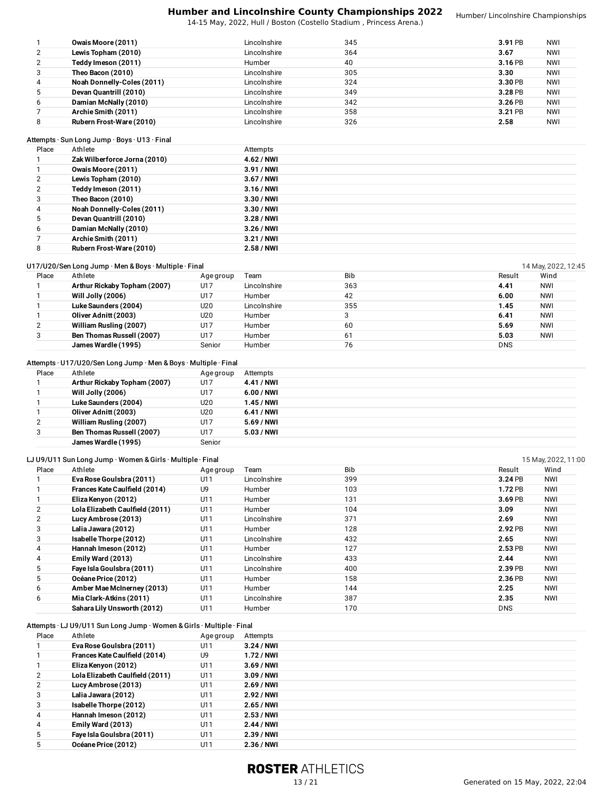14-15 May, 2022, Hull / Boston (Costello Stadium , Princess Arena.)

|   | Owais Moore (2011)         | Lincolnshire | 345 | 3.91 PB | <b>NWI</b> |
|---|----------------------------|--------------|-----|---------|------------|
| 2 | Lewis Topham (2010)        | Lincolnshire | 364 | 3.67    | <b>NWI</b> |
|   | Teddy Imeson (2011)        | Humber       | 40  | 3.16 PB | <b>NWI</b> |
| 3 | Theo Bacon (2010)          | Lincolnshire | 305 | 3.30    | <b>NWI</b> |
| 4 | Noah Donnelly-Coles (2011) | Lincolnshire | 324 | 3.30 PB | NWI        |
|   | Devan Quantrill (2010)     | Lincolnshire | 349 | 3.28 PB | <b>NWI</b> |
| 6 | Damian McNally (2010)      | Lincolnshire | 342 | 3.26 PB | <b>NWI</b> |
|   | Archie Smith (2011)        | Lincolnshire | 358 | 3.21 PB | <b>NWI</b> |
| 8 | Rubern Frost-Ware (2010)   | Lincolnshire | 326 | 2.58    | <b>NWI</b> |

#### Attempts · Sun Long Jump · Boys · U13 · Final

| Place | Athlete                      | Attempts    |
|-------|------------------------------|-------------|
|       | Zak Wilberforce Jorna (2010) | 4.62 / NWI  |
|       | Owais Moore (2011)           | 3.91 / NWI  |
|       | Lewis Topham (2010)          | 3.67 / NWI  |
|       | Teddy Imeson (2011)          | 3.16 / NWI  |
|       | Theo Bacon (2010)            | 3.30 / NWI  |
|       | Noah Donnelly-Coles (2011)   | 3.30 / NWI  |
|       | Devan Quantrill (2010)       | $3.28/$ NWI |
| 6     | Damian McNally (2010)        | 3.26 / NWI  |
|       | Archie Smith (2011)          | 3.21/NNI    |
| 8     | Rubern Frost-Ware (2010)     | 2.58 / NWI  |

# U17/U20/Sen Long Jump · Men & Boys · Multiple · Final interval and the control of the control of the control of the control of the control of the control of the control of the control of the control of the control of the c

| Place | Athlete                      | Age group | Team         | <b>Bib</b> | Result     | Wind       |
|-------|------------------------------|-----------|--------------|------------|------------|------------|
|       | Arthur Rickaby Topham (2007) | U17       | Lincolnshire | 363        | 4.41       | <b>NWI</b> |
|       | Will Jolly (2006)            | U17       | Humber       | 42         | 6.00       | <b>NWI</b> |
|       | Luke Saunders (2004)         | U20       | Lincolnshire | 355        | 1.45       | <b>NWI</b> |
|       | Oliver Adnitt (2003)         | U20       | Humber       |            | 6.41       | <b>NWI</b> |
|       | William Rusling (2007)       | U17       | Humber       | 60         | 5.69       | <b>NWI</b> |
|       | Ben Thomas Russell (2007)    | U17       | Humber       | 61         | 5.03       | <b>NWI</b> |
|       | James Wardle (1995)          | Senior    | Humber       | 76         | <b>DNS</b> |            |
|       |                              |           |              |            |            |            |

## Attempts · U17/U20/Sen Long Jump · Men & Boys · Multiple · Final

| Place | Athlete                      | Age group | Attempts    |
|-------|------------------------------|-----------|-------------|
|       | Arthur Rickaby Topham (2007) | U17       | 4.41 / NWI  |
|       | Will Jolly (2006)            | U17       | $6.00/$ NWI |
|       | Luke Saunders (2004)         | U20       | $1.45/$ NWI |
|       | Oliver Adnitt (2003)         | U20       | 6.41 / NWI  |
|       | William Rusling (2007)       | U17       | 5.69 / NWI  |
| 3     | Ben Thomas Russell (2007)    | U17       | 5.03 / NWI  |
|       | James Wardle (1995)          | Senior    |             |

|       | LJ U9/U11 Sun Long Jump · Women & Girls · Multiple · Final |           |              |            |            | 15 May, 2022, 11:00 |
|-------|------------------------------------------------------------|-----------|--------------|------------|------------|---------------------|
| Place | Athlete                                                    | Age group | Team         | <b>Bib</b> | Result     | Wind                |
|       | Eva Rose Goulsbra (2011)                                   | U11       | Lincolnshire | 399        | 3.24 PB    | <b>NWI</b>          |
|       | Frances Kate Caulfield (2014)                              | U9        | Humber       | 103        | 1.72 PB    | <b>NWI</b>          |
|       | Eliza Kenyon (2012)                                        | U11       | Humber       | 131        | 3.69 PB    | <b>NWI</b>          |
| 2     | Lola Elizabeth Caulfield (2011)                            | U11       | Humber       | 104        | 3.09       | <b>NWI</b>          |
| 2     | Lucy Ambrose (2013)                                        | U11       | Lincolnshire | 371        | 2.69       | <b>NWI</b>          |
| 3     | Lalia Jawara (2012)                                        | U11       | Humber       | 128        | 2.92 PB    | <b>NWI</b>          |
| 3     | Isabelle Thorpe (2012)                                     | U11       | Lincolnshire | 432        | 2.65       | <b>NWI</b>          |
| 4     | Hannah Imeson (2012)                                       | U11       | Humber       | 127        | 2.53 PB    | <b>NWI</b>          |
| 4     | Emily Ward (2013)                                          | U11       | Lincolnshire | 433        | 2.44       | <b>NWI</b>          |
| 5     | Faye Isla Goulsbra (2011)                                  | U11       | Lincolnshire | 400        | 2.39 PB    | <b>NWI</b>          |
| 5.    | Océane Price (2012)                                        | U11       | Humber       | 158        | 2.36 PB    | <b>NWI</b>          |
| 6     | Amber Mae McInerney (2013)                                 | U11       | Humber       | 144        | 2.25       | <b>NWI</b>          |
| 6     | Mia Clark-Atkins (2011)                                    | U11       | Lincolnshire | 387        | 2.35       | <b>NWI</b>          |
|       | Sahara Lily Unsworth (2012)                                | U11       | Humber       | 170        | <b>DNS</b> |                     |

Attempts · LJ U9/U11 Sun Long Jump · Women &Girls · Multiple · Final

| Place | Athlete                         | Age group | Attempts    |
|-------|---------------------------------|-----------|-------------|
|       | Eva Rose Goulsbra (2011)        | U11       | 3.24/NNI    |
|       | Frances Kate Caulfield (2014)   | U9        | 1.72 / NWI  |
|       | Eliza Kenyon (2012)             | U11       | $3.69/$ NWI |
|       | Lola Elizabeth Caulfield (2011) | U11       | 3.09 / NWI  |
|       | Lucy Ambrose (2013)             | U11       | 2.69 / NWI  |
| 3     | Lalia Jawara (2012)             | U11       | 2.92 / NWI  |
| 3     | Isabelle Thorpe (2012)          | U11       | 2.65 / NWI  |
| 4     | Hannah Imeson (2012)            | U11       | 2.53 / NWI  |
| 4     | Emily Ward (2013)               | U11       | 2.44 / NWI  |
| 5     | Faye Isla Goulsbra (2011)       | U11       | 2.39 / NWI  |
|       | Océane Price (2012)             | U1 1      | 2.36 / NWI  |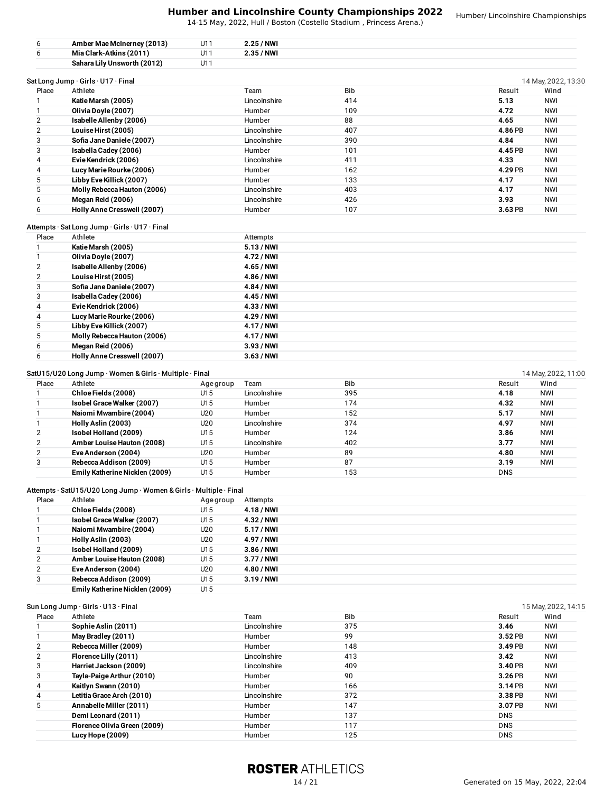14-15 May, 2022, Hull / Boston (Costello Stadium , Princess Arena.)

| 6              | Amber Mae McInerney (2013)          | U11 | 2.25 / NWI    |            |         |                     |
|----------------|-------------------------------------|-----|---------------|------------|---------|---------------------|
| 6              | Mia Clark-Atkins (2011)             | U11 | 2.35 / NWI    |            |         |                     |
|                | Sahara Lily Unsworth (2012)         | U11 |               |            |         |                     |
|                | Sat Long Jump . Girls . U17 . Final |     |               |            |         | 14 May, 2022, 13:30 |
| Place          | Athlete                             |     | Team          | <b>Bib</b> | Result  | Wind                |
|                | Katie Marsh (2005)                  |     | Lincolnshire  | 414        | 5.13    | NWI                 |
|                | Olivia Doyle (2007)                 |     | <b>Humber</b> | 109        | 4.72    | NWI                 |
| $\overline{2}$ | Isabelle Allenby (2006)             |     | <b>Humber</b> | 88         | 4.65    | <b>NWI</b>          |
| 2              | Louise Hirst (2005)                 |     | Lincolnshire  | 407        | 4.86 PB | <b>NWI</b>          |
| 3              | Sofia Jane Daniele (2007)           |     | Lincolnshire  | 390        | 4.84    | <b>NWI</b>          |
| 3              | Isabella Cadey (2006)               |     | Humber        | 101        | 4.45 PB | <b>NWI</b>          |
| 4              | Evie Kendrick (2006)                |     | Lincolnshire  | 411        | 4.33    | <b>NWI</b>          |
| 4              | Lucy Marie Rourke (2006)            |     | Humber        | 162        | 4.29 PB | NWI                 |
| 5              | Libby Eve Killick (2007)            |     | Humber        | 133        | 4.17    | NWI                 |
| 5              | Molly Rebecca Hauton (2006)         |     | Lincolnshire  | 403        | 4.17    | NWI                 |
| 6              | Megan Reid (2006)                   |     | Lincolnshire  | 426        | 3.93    | <b>NWI</b>          |
| 6              | Holly Anne Cresswell (2007)         |     | Humber        | 107        | 3.63 PB | <b>NWI</b>          |
|                |                                     |     |               |            |         |                     |

## Attempts · Sat Long Jump · Girls · U17 · Final

| Place | Athlete                     | Attempts    |
|-------|-----------------------------|-------------|
|       | Katie Marsh (2005)          | 5.13 / NWI  |
|       | Olivia Doyle (2007)         | 4.72 / NWI  |
|       | Isabelle Allenby (2006)     | 4.65 / NWI  |
|       | Louise Hirst (2005)         | 4.86 / NWI  |
| 5     | Sofia Jane Daniele (2007)   | 4.84 / NWI  |
| 3     | Isabella Cadey (2006)       | 4.45 / NWI  |
| 4     | Evie Kendrick (2006)        | 4.33 / NWI  |
| 4     | Lucy Marie Rourke (2006)    | 4.29 / NWI  |
|       | Libby Eve Killick (2007)    | 4.17 / NWI  |
|       | Molly Rebecca Hauton (2006) | 4.17 / NWI  |
| 6     | Megan Reid (2006)           | 3.93 / NWI  |
| 6     | Holly Anne Cresswell (2007) | $3.63/$ NWI |

#### SatU15/U20 Long Jump · Women & Girls · Multiple · Final 14 May, 2022, 11:00

| Place | Athlete                        | Age group | Team         | <b>Bib</b> | Result     | Wind       |
|-------|--------------------------------|-----------|--------------|------------|------------|------------|
|       | Chloe Fields (2008)            | U15       | Lincolnshire | 395        | 4.18       | <b>NWI</b> |
|       | Isobel Grace Walker (2007)     | U15       | Humber       | 174        | 4.32       | <b>NWI</b> |
|       | Naiomi Mwambire (2004)         | U20       | Humber       | 152        | 5.17       | <b>NWI</b> |
|       | Holly Aslin (2003)             | U20       | Lincolnshire | 374        | 4.97       | <b>NWI</b> |
|       | Isobel Holland (2009)          | U15       | Humber       | 124        | 3.86       | <b>NWI</b> |
|       | Amber Louise Hauton (2008)     | U15       | Lincolnshire | 402        | 3.77       | <b>NWI</b> |
|       | Eve Anderson (2004)            | U20       | Humber       | 89         | 4.80       | <b>NWI</b> |
| 3     | Rebecca Addison (2009)         | U15       | Humber       | 87         | 3.19       | <b>NWI</b> |
|       | Emily Katherine Nicklen (2009) | U15       | Humber       | 153        | <b>DNS</b> |            |
|       |                                |           |              |            |            |            |

## Attempts · SatU15/U20 Long Jump · Women &Girls · Multiple · Final

| Place          | Athlete                        | Age group | Attempts   |
|----------------|--------------------------------|-----------|------------|
|                | Chloe Fields (2008)            | U15       | 4.18 / NWI |
|                | Isobel Grace Walker (2007)     | U15       | 4.32 / NWI |
|                | Naiomi Mwambire (2004)         | U20       | 5.17 / NWI |
|                | Holly Aslin (2003)             | U20       | 4.97 / NWI |
| $\overline{2}$ | Isobel Holland (2009)          | U15       | 3.86 / NWI |
| 2              | Amber Louise Hauton (2008)     | U15       | 3.77 / NWI |
| 2              | Eve Anderson (2004)            | U20       | 4.80 / NWI |
| 3              | Rebecca Addison (2009)         | U15       | 3.19 / NWI |
|                | Emily Katherine Nicklen (2009) | U15       |            |

| Place | Athlete                      | Team         | <b>Bib</b> | Wind<br>Result        |
|-------|------------------------------|--------------|------------|-----------------------|
|       | Sophie Aslin (2011)          | Lincolnshire | 375        | <b>NWI</b><br>3.46    |
|       | May Bradley (2011)           | Humber       | 99         | <b>NWI</b><br>3.52 PB |
| 2     | Rebecca Miller (2009)        | Humber       | 148        | <b>NWI</b><br>3.49 PB |
|       | Florence Lilly (2011)        | Lincolnshire | 413        | <b>NWI</b><br>3.42    |
| 3     | Harriet Jackson (2009)       | Lincolnshire | 409        | <b>NWI</b><br>3.40 PB |
| 3     | Tayla-Paige Arthur (2010)    | Humber       | 90         | <b>NWI</b><br>3.26 PB |
| 4     | Kaitlyn Swann (2010)         | Humber       | 166        | <b>NWI</b><br>3.14 PB |
| 4     | Letitia Grace Arch (2010)    | Lincolnshire | 372        | <b>NWI</b><br>3.38 PB |
| 5     | Annabelle Miller (2011)      | Humber       | 147        | <b>NWI</b><br>3.07 PB |
|       | Demi Leonard (2011)          | Humber       | 137        | <b>DNS</b>            |
|       | Florence Olivia Green (2009) | Humber       | 117        | <b>DNS</b>            |
|       | Lucy Hope (2009)             | Humber       | 125        | <b>DNS</b>            |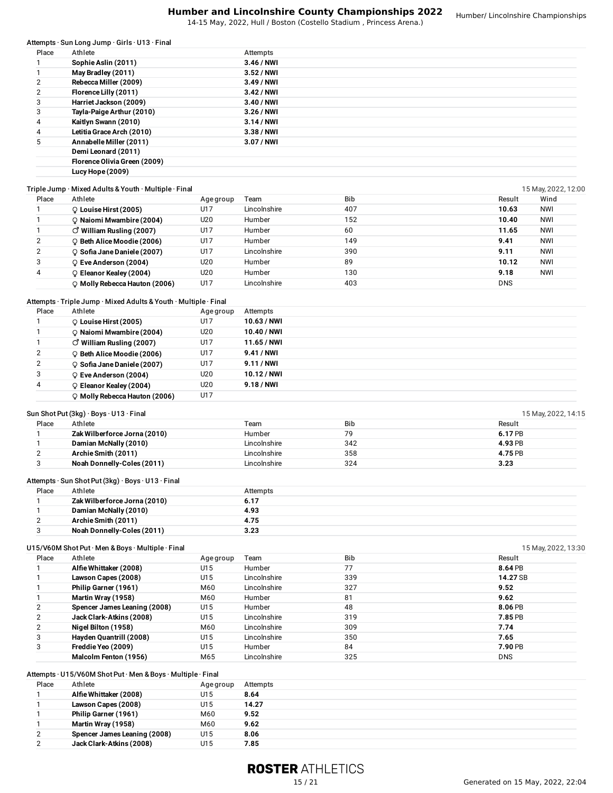|                              | Attempts · Sun Long Jump · Girls · U13 · Final                   |                  |                |           |                    |                     |
|------------------------------|------------------------------------------------------------------|------------------|----------------|-----------|--------------------|---------------------|
| Place                        | Athlete                                                          |                  | Attempts       |           |                    |                     |
| 1                            | Sophie Aslin (2011)                                              |                  | 3.46 / NWI     |           |                    |                     |
| $\mathbf{1}$                 | May Bradley (2011)                                               |                  | 3.52 / NWI     |           |                    |                     |
| $\overline{\mathbf{c}}$      | Rebecca Miller (2009)                                            |                  | 3.49 / NWI     |           |                    |                     |
| 2                            | Florence Lilly (2011)                                            |                  | 3.42 / NWI     |           |                    |                     |
| 3                            | Harriet Jackson (2009)                                           |                  | 3.40 / NWI     |           |                    |                     |
| 3                            | Tayla-Paige Arthur (2010)                                        |                  | 3.26 / NWI     |           |                    |                     |
| 4                            | Kaitlyn Swann (2010)                                             |                  | $3.14/$ NWI    |           |                    |                     |
| 4                            | Letitia Grace Arch (2010)                                        |                  | 3.38 / NWI     |           |                    |                     |
| 5                            | Annabelle Miller (2011)                                          |                  | 3.07 / NWI     |           |                    |                     |
|                              | Demi Leonard (2011)                                              |                  |                |           |                    |                     |
|                              | Florence Olivia Green (2009)                                     |                  |                |           |                    |                     |
|                              | Lucy Hope (2009)                                                 |                  |                |           |                    |                     |
|                              | Triple Jump · Mixed Adults & Youth · Multiple · Final            |                  |                |           |                    | 15 May, 2022, 12:00 |
| Place                        | Athlete                                                          | Age group        | Team           | Bib       | Result             | Wind                |
| 1                            | C Louise Hirst (2005)                                            | U17              | Lincolnshire   | 407       | 10.63              | <b>NWI</b>          |
| 1                            | Q Naiomi Mwambire (2004)                                         | U20              | Humber         | 152       | 10.40              | <b>NWI</b>          |
| $\mathbf{1}$                 | $\circlearrowleft$ William Rusling (2007)                        | U17              | Humber         | 60        | 11.65              | NWI                 |
| $\overline{c}$               | P Beth Alice Moodie (2006)                                       | U17              | Humber         | 149       | 9.41               | <b>NWI</b>          |
| $\overline{\mathbf{c}}$      |                                                                  |                  | Lincolnshire   | 390       | 9.11               | <b>NWI</b>          |
|                              | $\circ$ Sofia Jane Daniele (2007)                                | U17              |                |           |                    |                     |
| 3                            | C Eve Anderson (2004)                                            | U20              | Humber         | 89        | 10.12              | <b>NWI</b>          |
| 4                            | C Eleanor Kealey (2004)                                          | U20              | Humber         | 130       | 9.18               | <b>NWI</b>          |
|                              | O Molly Rebecca Hauton (2006)                                    | U17              | Lincolnshire   | 403       | <b>DNS</b>         |                     |
|                              | Attempts · Triple Jump · Mixed Adults & Youth · Multiple · Final |                  |                |           |                    |                     |
| Place                        | Athlete                                                          |                  | Attempts       |           |                    |                     |
| 1                            |                                                                  | Age group<br>U17 | 10.63 / NWI    |           |                    |                     |
|                              | C Louise Hirst (2005)                                            |                  |                |           |                    |                     |
| $\mathbf{1}$                 | C Naiomi Mwambire (2004)                                         | U20              | 10.40 / NWI    |           |                    |                     |
| $\mathbf{1}$                 | $\circlearrowleft$ William Rusling (2007)                        | U17              | 11.65 / NWI    |           |                    |                     |
| $\overline{\mathbf{c}}$      | C Beth Alice Moodie (2006)                                       | U17              | 9.41 / NWI     |           |                    |                     |
| $\overline{\mathbf{c}}$      | $\circ$ Sofia Jane Daniele (2007)                                | U17              | 9.11 / NWI     |           |                    |                     |
| 3                            | ♀ Eve Anderson (2004)                                            | U20              | 10.12/NWI      |           |                    |                     |
| 4                            | C Eleanor Kealey (2004)                                          | U20              | 9.18 / NWI     |           |                    |                     |
|                              | O Molly Rebecca Hauton (2006)                                    | U17              |                |           |                    |                     |
|                              |                                                                  |                  |                |           |                    |                     |
|                              | Sun Shot Put (3kg) · Boys · U13 · Final                          |                  |                |           |                    | 15 May, 2022, 14:15 |
| Place                        | Athlete                                                          |                  | Team<br>Humber | Bib       | Result             |                     |
| $\mathbf{1}$<br>$\mathbf{1}$ | Zak Wilberforce Jorna (2010)<br>Damian McNally (2010)            |                  | Lincolnshire   | 79<br>342 | 6.17 PB            |                     |
| $\overline{\mathbf{c}}$      | Archie Smith (2011)                                              |                  | Lincolnshire   | 358       | 4.93 PB<br>4.75 PB |                     |
| 3                            | Noah Donnelly-Coles (2011)                                       |                  | Lincolnshire   | 324       | 3.23               |                     |
|                              |                                                                  |                  |                |           |                    |                     |
|                              | Attempts · Sun Shot Put (3kg) · Boys · U13 · Final               |                  |                |           |                    |                     |
| Place                        | Athlete                                                          |                  | Attempts       |           |                    |                     |
| $\mathbf{1}$                 | Zak Wilberforce Jorna (2010)                                     |                  | 6.17           |           |                    |                     |
| $\mathbf{1}$                 | Damian McNally (2010)                                            |                  | 4.93           |           |                    |                     |
| $\overline{c}$               | Archie Smith (2011)                                              |                  | 4.75           |           |                    |                     |
| 3                            | Noah Donnelly-Coles (2011)                                       |                  | 3.23           |           |                    |                     |
|                              |                                                                  |                  |                |           |                    |                     |
|                              | U15/V60M Shot Put · Men & Boys · Multiple · Final                |                  |                |           |                    | 15 May, 2022, 13:30 |
| Place                        | Athlete                                                          | Age group        | Team           | Bib       | Result             |                     |
| 1                            | Alfie Whittaker (2008)                                           | U15              | Humber         | 77        | 8.64 PB            |                     |
| $\mathbf{1}$                 | Lawson Capes (2008)                                              | U15              | Lincolnshire   | 339       | 14.27 SB           |                     |
| $\mathbf{1}$                 | Philip Garner (1961)                                             | M60              | Lincolnshire   | 327       | 9.52               |                     |
| 1                            | Martin Wray (1958)                                               | M60              | Humber         | 81        | 9.62               |                     |
| $\mathbf 2$                  | Spencer James Leaning (2008)                                     | U15              | Humber         | 48        | 8.06 PB            |                     |
| 2                            | Jack Clark-Atkins (2008)                                         | U15              | Lincolnshire   | 319       | 7.85 PB            |                     |
| $\overline{\mathbf{c}}$      | Nigel Bilton (1958)                                              | M60              | Lincolnshire   | 309       | 7.74               |                     |
| 3                            | Hayden Quantrill (2008)                                          | U15              | Lincolnshire   | 350       | 7.65               |                     |
| 3                            | Freddie Yeo (2009)                                               | U15              | Humber         | 84        | 7.90 PB            |                     |
|                              | Malcolm Fenton (1956)                                            | M65              | Lincolnshire   | 325       | <b>DNS</b>         |                     |
|                              | Attempts · U15/V60M Shot Put · Men & Boys · Multiple · Final     |                  |                |           |                    |                     |
| Place                        | Athlete                                                          | Age group        | Attempts       |           |                    |                     |
|                              | Alfie Whittaker (2008)                                           | U15              | 8.64           |           |                    |                     |
| $\mathbf{1}$                 |                                                                  |                  |                |           |                    |                     |
| $\mathbf{1}$                 | Lawson Capes (2008)                                              | U15              | 14.27          |           |                    |                     |

 **Martin Wray (1958)** M60 **9.62 Spencer James Leaning (2008)** U15 **8.06**

 $Jack$  **Clark-Atkins** (2008)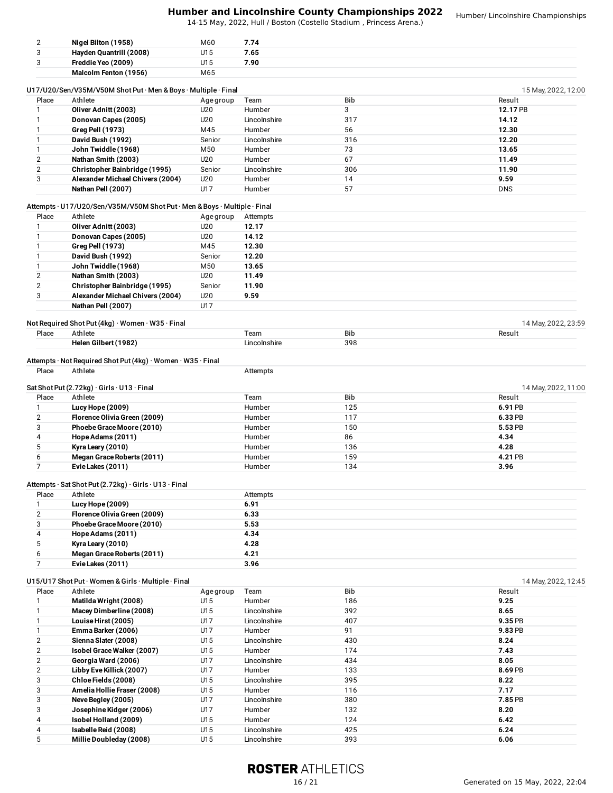| $\overline{2}$ | Nigel Bilton (1958)                                                       | M60        | 7.74                   |            |                                                               |
|----------------|---------------------------------------------------------------------------|------------|------------------------|------------|---------------------------------------------------------------|
| 3              | Hayden Quantrill (2008)                                                   | U15        | 7.65                   |            |                                                               |
| 3              | Freddie Yeo (2009)                                                        | U15        | 7.90                   |            |                                                               |
|                | Malcolm Fenton (1956)                                                     | M65        |                        |            |                                                               |
|                |                                                                           |            |                        |            |                                                               |
|                | U17/U20/Sen/V35M/V50M Shot Put · Men & Boys · Multiple · Final            |            |                        |            | 15 May, 2022, 12:00                                           |
| Place          | Athlete                                                                   | Age group  | Team                   | Bib        | Result                                                        |
| 1              | Oliver Adnitt (2003)                                                      | U20        | Humber                 | 3          | 12.17 PB                                                      |
| 1              | Donovan Capes (2005)                                                      | U20        | Lincolnshire           | 317        | 14.12                                                         |
| 1              | <b>Greg Pell (1973)</b>                                                   | M45        | Humber                 | 56         | 12.30                                                         |
| 1              | David Bush (1992)                                                         | Senior     | Lincolnshire           | 316        | 12.20                                                         |
| $\mathbf{1}$   | John Twiddle (1968)                                                       | M50        | Humber                 | 73         | 13.65                                                         |
| $\overline{2}$ | Nathan Smith (2003)                                                       | U20        | Humber                 | 67         | 11.49                                                         |
| $\mathbf{2}$   | Christopher Bainbridge (1995)                                             | Senior     | Lincolnshire           | 306        | 11.90                                                         |
| 3              | Alexander Michael Chivers (2004)                                          | U20        | Humber                 | 14         | 9.59                                                          |
|                | Nathan Pell (2007)                                                        | U17        | Humber                 | 57         | <b>DNS</b>                                                    |
|                |                                                                           |            |                        |            |                                                               |
|                | Attempts · U17/U20/Sen/V35M/V50M Shot Put · Men & Boys · Multiple · Final |            |                        |            |                                                               |
| Place          | Athlete                                                                   | Age group  | Attempts               |            |                                                               |
| 1              | Oliver Adnitt (2003)                                                      | U20        | 12.17                  |            |                                                               |
| 1              | Donovan Capes (2005)                                                      | U20        | 14.12                  |            |                                                               |
| $\mathbf{1}$   | Greg Pell (1973)                                                          | M45        | 12.30                  |            |                                                               |
| $\mathbf{1}$   | David Bush (1992)                                                         | Senior     | 12.20                  |            |                                                               |
| $\mathbf{1}$   | John Twiddle (1968)                                                       | M50        | 13.65                  |            |                                                               |
| $\mathbf{2}$   | Nathan Smith (2003)                                                       | U20        | 11.49                  |            |                                                               |
| $\overline{2}$ | Christopher Bainbridge (1995)                                             | Senior     | 11.90                  |            |                                                               |
| 3              | Alexander Michael Chivers (2004)                                          | U20        | 9.59                   |            |                                                               |
|                | Nathan Pell (2007)                                                        | U17        |                        |            |                                                               |
|                | Not Required Shot Put (4kg) · Women · W35 · Final                         |            |                        |            |                                                               |
| Place          | Athlete                                                                   |            | Team                   | Bib        | 14 May, 2022, 23:59<br>Result                                 |
|                | Helen Gilbert (1982)                                                      |            | Lincolnshire           | 398        |                                                               |
| Place          | Attempts · Not Required Shot Put (4kg) · Women · W35 · Final<br>Athlete   |            | Attempts               |            |                                                               |
|                | Sat Shot Put $(2.72kg) \cdot$ Girls $\cdot$ U13 $\cdot$ Final             |            |                        |            |                                                               |
| Place          | Athlete                                                                   |            | Team                   | Bib        | Result                                                        |
| 1              | Lucy Hope (2009)                                                          |            | Humber                 | 125        | 6.91 PB                                                       |
| $\mathbf{2}$   | Florence Olivia Green (2009)                                              |            | Humber                 | 117        | 6.33 PB                                                       |
| 3              | Phoebe Grace Moore (2010)                                                 |            | Humber                 | 150        | 5.53 PB                                                       |
| 4              | Hope Adams (2011)                                                         |            | Humber                 | 86         | 4.34                                                          |
| 5              | Kyra Leary (2010)                                                         |            | Humber                 | 136        | 4.28                                                          |
| 6              | Megan Grace Roberts (2011)                                                |            | Humber                 | 159        | 4.21 PB                                                       |
| 7              | Evie Lakes (2011)                                                         |            | Humber                 | 134        | 3.96                                                          |
|                |                                                                           |            |                        |            |                                                               |
|                | Attempts · Sat Shot Put (2.72kg) · Girls · U13 · Final                    |            |                        |            |                                                               |
| Place          | Athlete                                                                   |            | Attempts               |            |                                                               |
| $\mathbf{1}$   | Lucy Hope (2009)                                                          |            | 6.91                   |            |                                                               |
| $\mathbf{2}$   | Florence Olivia Green (2009)                                              |            | 6.33                   |            |                                                               |
| 3              | Phoebe Grace Moore (2010)                                                 |            | 5.53                   |            |                                                               |
| 4              | Hope Adams (2011)                                                         |            | 4.34                   |            |                                                               |
| 5              | Kyra Leary (2010)                                                         |            | 4.28                   |            |                                                               |
| 6              | Megan Grace Roberts (2011)                                                |            | 4.21                   |            |                                                               |
| $\overline{7}$ | Evie Lakes (2011)                                                         |            | 3.96                   |            |                                                               |
|                |                                                                           |            |                        |            |                                                               |
|                | U15/U17 Shot Put · Women & Girls · Multiple · Final                       |            |                        |            |                                                               |
| Place          | Athlete                                                                   | Age group  | Team                   | Bib        | Result                                                        |
| 1              | Matilda Wright (2008)                                                     | U15        | Humber                 | 186        | 9.25                                                          |
| $\mathbf{1}$   | Macey Dimberline (2008)                                                   | U15        | Lincolnshire           | 392        | 8.65                                                          |
| $\mathbf{1}$   | Louise Hirst (2005)                                                       | U17        | Lincolnshire           | 407        | 9.35 PB                                                       |
| $\mathbf{1}$   | Emma Barker (2006)                                                        | U17        | Humber                 | 91         | 9.83 PB                                                       |
| $\mathbf{2}$   | Sienna Slater (2008)                                                      | U15        | Lincolnshire           | 430        | 8.24                                                          |
| $\mathbf{2}$   | Isobel Grace Walker (2007)                                                | U15        | Humber                 | 174        | 7.43                                                          |
| $\mathbf{2}$   | Georgia Ward (2006)                                                       | U17        | Lincolnshire           | 434        | 8.05                                                          |
| $\overline{2}$ | Libby Eve Killick (2007)                                                  | U17        | Humber                 | 133        | 8.69 PB                                                       |
| 3              | Chloe Fields (2008)                                                       | U15        | Lincolnshire           | 395        | 8.22                                                          |
| 3<br>3         | Amelia Hollie Fraser (2008)<br>Neve Begley (2005)                         | U15<br>U17 | Humber<br>Lincolnshire | 116<br>380 | 14 May, 2022, 11:00<br>14 May, 2022, 12:45<br>7.17<br>7.85 PB |

# **ROSTER ATHLETICS**

 **Neve Begley (2005)** U17 Lincolnshire 380 **7.85** PB **Josephine Kidger (2006)** U17 Humber 132 **8.20 Isobel Holland (2009)** U15 Humber 124 **6.42**

 **Isabelle Reid (2008)** U15 Lincolnshire 425 **6.24 MillieDoubleday (2008)** U15 Lincolnshire 393 **6.06**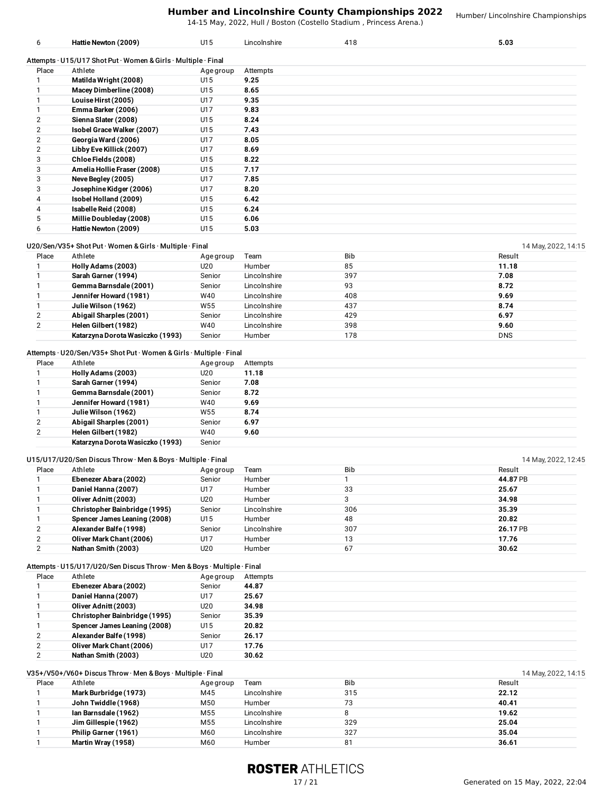14-15 May, 2022, Hull / Boston (Costello Stadium , Princess Arena.)

Humber/ Lincolnshire Championships

| . [4-15 May, 2022, Hull / Boston (Costello Stadium , Princess Arena |  |
|---------------------------------------------------------------------|--|
|                                                                     |  |

**Hattie Newton (2009)** U15 Lincolnshire 418 **5.03**

| Place | Athlete                     | Age group | Attempts |
|-------|-----------------------------|-----------|----------|
|       | Matilda Wright (2008)       | U15       | 9.25     |
|       | Macey Dimberline (2008)     | U15       | 8.65     |
|       | Louise Hirst (2005)         | U17       | 9.35     |
|       | Emma Barker (2006)          | U17       | 9.83     |
|       | Sienna Slater (2008)        | U15       | 8.24     |
|       | Isobel Grace Walker (2007)  | U15       | 7.43     |
|       | Georgia Ward (2006)         | U17       | 8.05     |
|       | Libby Eve Killick (2007)    | U17       | 8.69     |
| 3     | Chloe Fields (2008)         | U15       | 8.22     |
| 3     | Amelia Hollie Fraser (2008) | U15       | 7.17     |
| 3     | Neve Begley (2005)          | U17       | 7.85     |
| 3     | Josephine Kidger (2006)     | U17       | 8.20     |
| 4     | Isobel Holland (2009)       | U15       | 6.42     |
| 4     | Isabelle Reid (2008)        | U15       | 6.24     |
| 5     | Millie Doubleday (2008)     | U15       | 6.06     |
| 6     | Hattie Newton (2009)        | U15       | 5.03     |

### U20/Sen/V35+ Shot Put · Women & Girls · Multiple · Final 14 May, 2022, 14:15

| 20, OCH, YOO! ONOt! Ut WOMEN & ONIG INIGHTO I MIGH<br>$1 - 1$ $1 - 1$ $1 - 1$ $1 - 1$ $1 - 1$ $1 - 1$ $1 - 1$ |                                  |           |              |            |            |
|---------------------------------------------------------------------------------------------------------------|----------------------------------|-----------|--------------|------------|------------|
| Place                                                                                                         | Athlete                          | Age group | Team         | <b>Bib</b> | Result     |
|                                                                                                               | Holly Adams (2003)               | U20       | Humber       | 85         | 11.18      |
|                                                                                                               | Sarah Garner (1994)              | Senior    | Lincolnshire | 397        | 7.08       |
|                                                                                                               | Gemma Barnsdale (2001)           | Senior    | Lincolnshire | 93         | 8.72       |
|                                                                                                               | Jennifer Howard (1981)           | W40       | Lincolnshire | 408        | 9.69       |
|                                                                                                               | Julie Wilson (1962)              | W55       | Lincolnshire | 437        | 8.74       |
|                                                                                                               | Abigail Sharples (2001)          | Senior    | Lincolnshire | 429        | 6.97       |
|                                                                                                               | Helen Gilbert (1982)             | W40       | Lincolnshire | 398        | 9.60       |
|                                                                                                               | Katarzyna Dorota Wasiczko (1993) | Senior    | Humber       | 178        | <b>DNS</b> |

# Attempts · U20/Sen/V35+ Shot Put · Women &Girls · Multiple · Final

| Place          | Athlete                          | Age group | Attempts |
|----------------|----------------------------------|-----------|----------|
|                | Holly Adams (2003)               | U20       | 11.18    |
|                | Sarah Garner (1994)              | Senior    | 7.08     |
|                | Gemma Barnsdale (2001)           | Senior    | 8.72     |
|                | Jennifer Howard (1981)           | W40       | 9.69     |
|                | Julie Wilson (1962)              | W55       | 8.74     |
| $\overline{2}$ | Abigail Sharples (2001)          | Senior    | 6.97     |
| 2              | Helen Gilbert (1982)             | W40       | 9.60     |
|                | Katarzyna Dorota Wasiczko (1993) | Senior    |          |

|       | $U15/U17/U20/Sen Discuss Throw·Men & Boys·Multiple·Final$ |           |              |            | 14 May, 2022, 12:45 |
|-------|-----------------------------------------------------------|-----------|--------------|------------|---------------------|
| Place | Athlete                                                   | Age group | Team         | <b>Bib</b> | Result              |
|       | Ebenezer Abara (2002)                                     | Senior    | Humber       |            | 44.87 PB            |
|       | Daniel Hanna (2007)                                       | U17       | Humber       | 33         | 25.67               |
|       | Oliver Adnitt (2003)                                      | U20       | Humber       | 3          | 34.98               |
|       | <b>Christopher Bainbridge (1995)</b>                      | Senior    | Lincolnshire | 306        | 35.39               |
|       | Spencer James Leaning (2008)                              | U15       | Humber       | 48         | 20.82               |
|       | Alexander Balfe (1998)                                    | Senior    | Lincolnshire | 307        | 26.17 PB            |
|       | Oliver Mark Chant (2006)                                  | U17       | Humber       | 13         | 17.76               |
|       | Nathan Smith (2003)                                       | U20       | Humber       | 67         | 30.62               |

# Attempts · U15/U17/U20/Sen Discus Throw · Men & Boys · Multiple · Final

| Place | Athlete                       | Age group | Attempts |
|-------|-------------------------------|-----------|----------|
|       | Ebenezer Abara (2002)         | Senior    | 44.87    |
|       | Daniel Hanna (2007)           | U17       | 25.67    |
|       | Oliver Adnitt (2003)          | U20       | 34.98    |
|       | Christopher Bainbridge (1995) | Senior    | 35.39    |
|       | Spencer James Leaning (2008)  | U15       | 20.82    |
| 2     | Alexander Balfe (1998)        | Senior    | 26.17    |
| 2     | Oliver Mark Chant (2006)      | U17       | 17.76    |
| ົ     | Nathan Smith (2003)           | U20       | 30.62    |

|       | $V35+/V50+/V60+Discus Throw·Men & Boys·Multiple·Final$ |           |              |            | 14 May, 2022, 14:15 |
|-------|--------------------------------------------------------|-----------|--------------|------------|---------------------|
| Place | Athlete                                                | Age group | Team         | <b>Bib</b> | Result              |
|       | Mark Burbridge (1973)                                  | M45       | Lincolnshire | 315        | 22.12               |
|       | John Twiddle (1968)                                    | M50       | Humber       | 73         | 40.41               |
|       | Ian Barnsdale (1962)                                   | M55       | Lincolnshire |            | 19.62               |
|       | Jim Gillespie (1962)                                   | M55       | Lincolnshire | 329        | 25.04               |
|       | Philip Garner (1961)                                   | M60       | Lincolnshire | 327        | 35.04               |
|       | Martin Wray (1958)                                     | M60       | Humber       | 81         | 36.61               |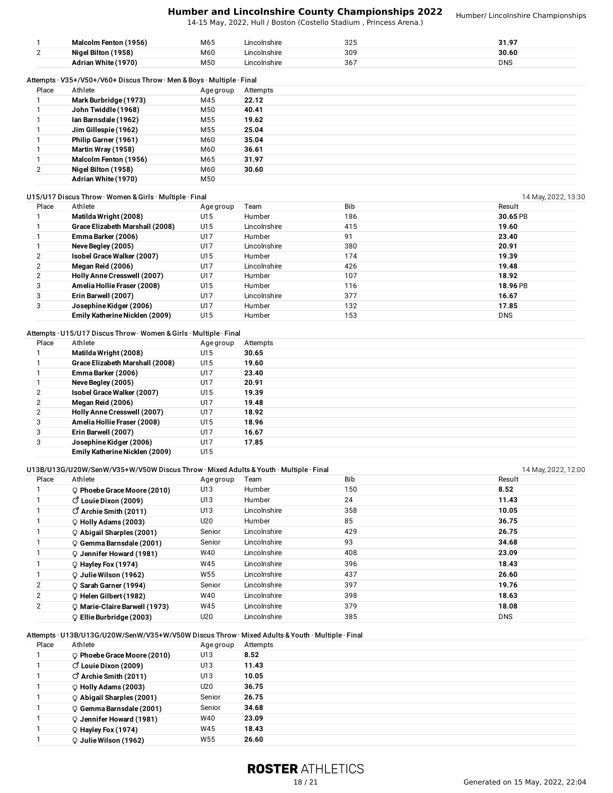14-15 May, 2022, Hull / Boston (Costello Stadium , Princess Arena.)

Humber/ Lincolnshire Championships

|       | Malcolm Fenton (1956)                                                  | M65       | Lincolnshire | 325 | 31.97      |
|-------|------------------------------------------------------------------------|-----------|--------------|-----|------------|
|       | Nigel Bilton (1958)                                                    | M60       | Lincolnshire | 309 | 30.60      |
|       | Adrian White (1970)                                                    | M50       | Lincolnshire | 367 | <b>DNS</b> |
|       | Attempts · V35+/V50+/V60+ Discus Throw · Men & Boys · Multiple · Final |           |              |     |            |
| Place | Athlete                                                                | Age group | Attempts     |     |            |
|       | Mark Burbridge (1973)                                                  | M45       | 22.12        |     |            |
|       | John Twiddle (1968)                                                    | M50       | 40.41        |     |            |
|       | Ian Barnsdale (1962)                                                   | M55       | 19.62        |     |            |
|       | Jim Gillespie (1962)                                                   | M55       | 25.04        |     |            |
|       | Philip Garner (1961)                                                   | M60       | 35.04        |     |            |
|       | Martin Wray (1958)                                                     | M60       | 36.61        |     |            |
|       | Malcolm Fenton (1956)                                                  | M65       | 31.97        |     |            |
| 2     | Nigel Bilton (1958)                                                    | M60       | 30.60        |     |            |
|       | Adrian White (1970)                                                    | M50       |              |     |            |

| Place | Athlete                         | Age group | Team         | <b>Bib</b> | Result     |
|-------|---------------------------------|-----------|--------------|------------|------------|
|       | Matilda Wright (2008)           | U15       | Humber       | 186        | 30.65 PB   |
|       | Grace Elizabeth Marshall (2008) | U15       | Lincolnshire | 415        | 19.60      |
|       | Emma Barker (2006)              | U17       | Humber       | 91         | 23.40      |
|       | Neve Begley (2005)              | U17       | Lincolnshire | 380        | 20.91      |
|       | Isobel Grace Walker (2007)      | U15       | Humber       | 174        | 19.39      |
|       | Megan Reid (2006)               | U17       | Lincolnshire | 426        | 19.48      |
|       | Holly Anne Cresswell (2007)     | U17       | Humber       | 107        | 18.92      |
| 3     | Amelia Hollie Fraser (2008)     | U15       | Humber       | 116        | 18.96 PB   |
|       | Erin Barwell (2007)             | U17       | Lincolnshire | 377        | 16.67      |
| 3     | Josephine Kidger (2006)         | U17       | Humber       | 132        | 17.85      |
|       | Emily Katherine Nicklen (2009)  | U15       | Humber       | 153        | <b>DNS</b> |

# Attempts · U15/U17 Discus Throw · Women &Girls · Multiple · Final

| Place          | Athlete                         | Age group | Attempts |
|----------------|---------------------------------|-----------|----------|
|                | Matilda Wright (2008)           | U15       | 30.65    |
|                | Grace Elizabeth Marshall (2008) | U15       | 19.60    |
|                | Emma Barker (2006)              | U17       | 23.40    |
|                | Neve Begley (2005)              | U17       | 20.91    |
| $\overline{2}$ | Isobel Grace Walker (2007)      | U15       | 19.39    |
| $\overline{2}$ | Megan Reid (2006)               | U17       | 19.48    |
| 2              | Holly Anne Cresswell (2007)     | U17       | 18.92    |
| 3              | Amelia Hollie Fraser (2008)     | U15       | 18.96    |
| 3              | Erin Barwell (2007)             | U17       | 16.67    |
| 3              | Josephine Kidger (2006)         | U17       | 17.85    |
|                | Emily Katherine Nicklen (2009)  | U15       |          |

# U13B/U13G/U20W/SenW/V35+W/V50W Discus Throw · Mixed Adults & Youth · Multiple · Final 14 May, 2022, 12:00 14 May, 2022, 12:00

| Place | Athlete                             | Age group | Team         | <b>Bib</b> | Result     |
|-------|-------------------------------------|-----------|--------------|------------|------------|
|       | O Phoebe Grace Moore (2010)         | U13       | Humber       | 150        | 8.52       |
|       | $\circ$ Louie Dixon (2009)          | U13       | Humber       | 24         | 11.43      |
|       | $\circ$ Archie Smith (2011)         | U13       | Lincolnshire | 358        | 10.05      |
|       | $Q$ Holly Adams (2003)              | U20       | Humber       | 85         | 36.75      |
|       | $\circ$ Abigail Sharples (2001)     | Senior    | Lincolnshire | 429        | 26.75      |
|       | Q Gemma Barnsdale (2001)            | Senior    | Lincolnshire | 93         | 34.68      |
|       | $Q$ Jennifer Howard (1981)          | W40       | Lincolnshire | 408        | 23.09      |
|       | $Q$ Hayley Fox (1974)               | W45       | Lincolnshire | 396        | 18.43      |
|       | $\mathcal Q$ Julie Wilson (1962)    | W55       | Lincolnshire | 437        | 26.60      |
| 2     | ○ Sarah Garner (1994)               | Senior    | Lincolnshire | 397        | 19.76      |
| 2     | C Helen Gilbert (1982)              | W40       | Lincolnshire | 398        | 18.63      |
| 2     | O Marie-Claire Barwell (1973)       | W45       | Lincolnshire | 379        | 18.08      |
|       | $\mathcal Q$ Ellie Burbridge (2003) | U20       | Lincolnshire | 385        | <b>DNS</b> |

## Attempts · U13B/U13G/U20W/SenW/V35+W/V50W Discus Throw · Mixed Adults & Youth · Multiple · Final

| Place | Athlete                         | Age group | Attempts |
|-------|---------------------------------|-----------|----------|
|       | $Q$ Phoebe Grace Moore (2010)   | U13       | 8.52     |
|       | $\circ$ Louie Dixon (2009)      | U13       | 11.43    |
|       | $\vec{O}$ Archie Smith (2011)   | U13       | 10.05    |
|       | $Q$ Holly Adams (2003)          | U20       | 36.75    |
|       | $\circ$ Abigail Sharples (2001) | Senior    | 26.75    |
|       | C Gemma Barnsdale (2001)        | Senior    | 34.68    |
|       | Q Jennifer Howard (1981)        | W40       | 23.09    |
|       | $Q$ Hayley Fox (1974)           | W45       | 18.43    |
|       | $Q$ Julie Wilson (1962)         | W55       | 26.60    |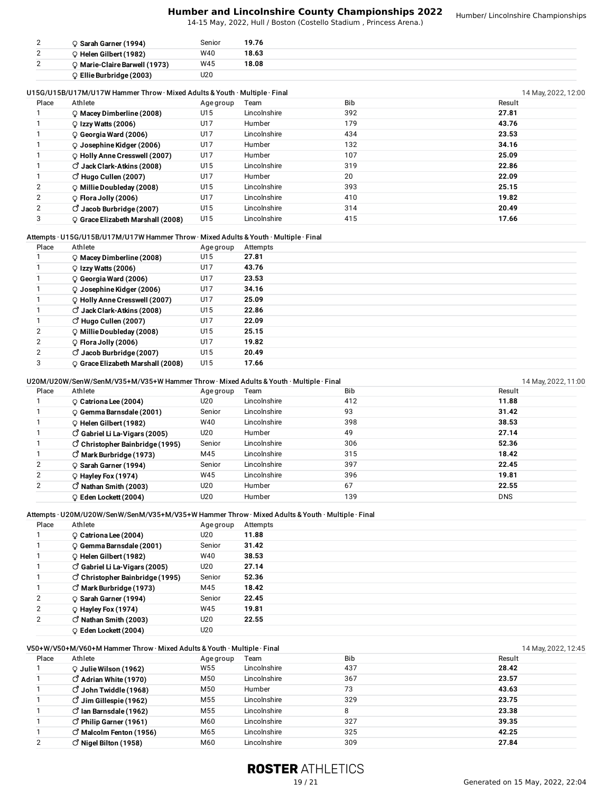14-15 May, 2022, Hull / Boston (Costello Stadium , Princess Arena.)

| ∸      | <sup>)</sup> Sarah Garner (1994) | Senior | 19.76 |  |
|--------|----------------------------------|--------|-------|--|
| ◠<br>- | Helen Gilbert (1982)             | W40    | 18.63 |  |
| -      | ි Marie-Claire Barwell (1973)    | W45    | 18.08 |  |
|        | Ellie Burbridge (2003)           | U20    |       |  |

#### U15G/U15B/U17M/U17W Hammer Throw · Mixed Adults & Youth · Multiple · Final 14 May, 2022, 12:00

| Place          | Athlete                              | Age group | Team         | <b>Bib</b> | Result |
|----------------|--------------------------------------|-----------|--------------|------------|--------|
|                | $Q$ Macey Dimberline (2008)          | U15       | Lincolnshire | 392        | 27.81  |
|                | $Q$ Izzy Watts (2006)                | U17       | Humber       | 179        | 43.76  |
|                | $Q$ Georgia Ward (2006)              | U17       | Lincolnshire | 434        | 23.53  |
|                | $\mathcal Q$ Josephine Kidger (2006) | U17       | Humber       | 132        | 34.16  |
|                | O Holly Anne Cresswell (2007)        | U17       | Humber       | 107        | 25.09  |
|                | $\circ$ Jack Clark-Atkins (2008)     | U15       | Lincolnshire | 319        | 22.86  |
|                | $\circ$ Hugo Cullen (2007)           | U17       | Humber       | 20         | 22.09  |
| $\overline{2}$ | $\mathcal Q$ Millie Doubleday (2008) | U15       | Lincolnshire | 393        | 25.15  |
| $\overline{2}$ | $\circ$ Flora Jolly (2006)           | U17       | Lincolnshire | 410        | 19.82  |
| $\overline{2}$ | $\circ$ Jacob Burbridge (2007)       | U15       | Lincolnshire | 314        | 20.49  |
|                | O Grace Elizabeth Marshall (2008)    | U15       | Lincolnshire | 415        | 17.66  |

## Attempts · U15G/U15B/U17M/U17W Hammer Throw · Mixed Adults & Youth · Multiple · Final

| Place | Athlete                                     | Age group | Attempts |
|-------|---------------------------------------------|-----------|----------|
|       | $Q$ Macey Dimberline (2008)                 | U15       | 27.81    |
|       | $Q$ Izzy Watts (2006)                       | U17       | 43.76    |
|       | $Q$ Georgia Ward (2006)                     | U17       | 23.53    |
|       | $\mathcal Q$ Josephine Kidger (2006)        | U17       | 34.16    |
|       | O Holly Anne Cresswell (2007)               | U17       | 25.09    |
|       | $\circlearrowleft$ Jack Clark-Atkins (2008) | U15       | 22.86    |
|       | $\circ$ Hugo Cullen (2007)                  | U17       | 22.09    |
| 2     | O Millie Doubleday (2008)                   | U15       | 25.15    |
| 2     | $\circ$ Flora Jolly (2006)                  | U17       | 19.82    |
| 2     | $\circ$ Jacob Burbridge (2007)              | U15       | 20.49    |
|       | O Grace Elizabeth Marshall (2008)           | U15       | 17.66    |

## U20M/U20W/SenW/SenM/V35+M/V35+W Hammer Throw · Mixed Adults & Youth · Multiple · Final 14 May, 2022, 11:00 14 May, 2022, 11:00

| Place          | Athlete                               | Age group | Team         | <b>Bib</b> | Result     |
|----------------|---------------------------------------|-----------|--------------|------------|------------|
|                | $Q$ Catriona Lee (2004)               | U20       | Lincolnshire | 412        | 11.88      |
|                | Q Gemma Barnsdale (2001)              | Senior    | Lincolnshire | 93         | 31.42      |
|                | $Q$ Helen Gilbert (1982)              | W40       | Lincolnshire | 398        | 38.53      |
|                | $\circ$ Gabriel Li La-Vigars (2005)   | U20       | Humber       | 49         | 27.14      |
|                | $\circ$ Christopher Bainbridge (1995) | Senior    | Lincolnshire | 306        | 52.36      |
|                | $\circ$ Mark Burbridge (1973)         | M45       | Lincolnshire | 315        | 18.42      |
| 2              | ♀ Sarah Garner (1994)                 | Senior    | Lincolnshire | 397        | 22.45      |
| 2              | $Q$ Hayley Fox (1974)                 | W45       | Lincolnshire | 396        | 19.81      |
| $\overline{2}$ | $\circ$ Nathan Smith (2003)           | U20       | Humber       | 67         | 22.55      |
|                | $Q$ Eden Lockett (2004)               | U20       | Humber       | 139        | <b>DNS</b> |
|                |                                       |           |              |            |            |

#### Attempts · U20M/U20W/SenW/SenM/V35+M/V35+W Hammer Throw · Mixed Adults & Youth · Multiple · Final

| Place          | Athlete                                  | Age group | Attempts |
|----------------|------------------------------------------|-----------|----------|
|                | $Q$ Catriona Lee (2004)                  | U20       | 11.88    |
|                | C Gemma Barnsdale (2001)                 | Senior    | 31.42    |
|                | C Helen Gilbert (1982)                   | W40       | 38.53    |
|                | $\vec{O}$ Gabriel Li La-Vigars (2005)    | U20       | 27.14    |
|                | $\vec{C}$ Christopher Bainbridge (1995)  | Senior    | 52.36    |
|                | $\circlearrowleft$ Mark Burbridge (1973) | M45       | 18.42    |
| $\overline{2}$ | ♀ Sarah Garner (1994)                    | Senior    | 22.45    |
| 2              | $Q$ Hayley Fox (1974)                    | W45       | 19.81    |
| $\overline{2}$ | $\circ$ Nathan Smith (2003)              | U20       | 22.55    |
|                | Q Eden Lockett (2004)                    | U20       |          |

# V50+W/V50+M/V60+M Hammer Throw · Mixed Adults & Youth · Multiple · Final 14 May, 2022, 12:45 Place Athlete Age group Team Bib Result **Julie Wilson (1962)** W55 Lincolnshire 437 **28.42 Adrian White (1970)** M50 Lincolnshire 367 **23.57 John Twiddle (1968)** M50 Humber 73 **43.63 Jim Gillespie (1962)** M55 Lincolnshire 329 **23.75 Ian Barnsdale (1962)** M55 Lincolnshire 8 **23.38 Philip Garner (1961)** M60 Lincolnshire 327 **39.35 Malcolm Fenton (1956)** M65 Lincolnshire 325 **42.25 Nigel Bilton (1958)** M60 Lincolnshire 309 **27.84**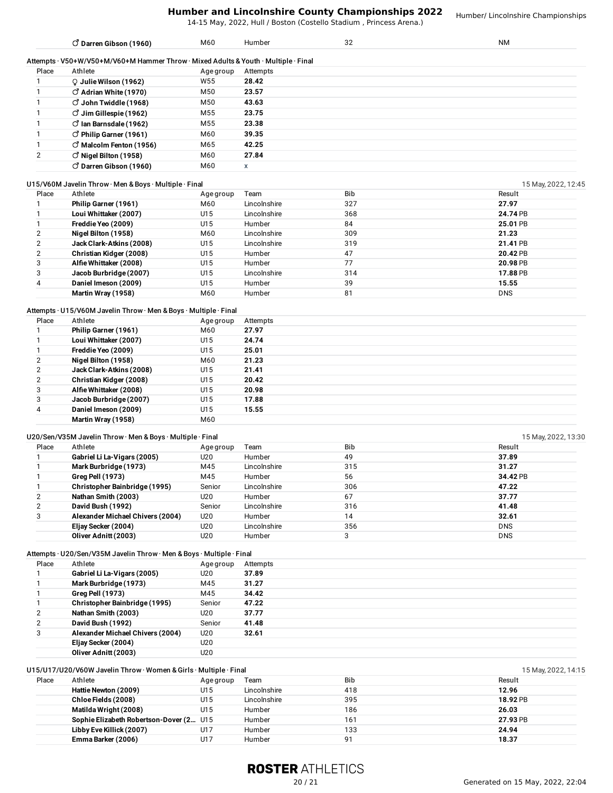14-15 May, 2022, Hull / Boston (Costello Stadium , Princess Arena.)

Humber/ Lincolnshire Championships

|                | $\vec{O}$ Darren Gibson (1960)                                                      | M60             | Humber       | 32         | <b>NM</b>           |
|----------------|-------------------------------------------------------------------------------------|-----------------|--------------|------------|---------------------|
|                | Attempts · V50+W/V50+M/V60+M Hammer Throw · Mixed Adults & Youth · Multiple · Final |                 |              |            |                     |
| Place          | Athlete                                                                             | Age group       | Attempts     |            |                     |
|                | Q Julie Wilson (1962)                                                               | W <sub>55</sub> | 28.42        |            |                     |
|                | $\circ$ Adrian White (1970)                                                         | M50             | 23.57        |            |                     |
|                | $\vec{O}$ John Twiddle (1968)                                                       | M50             | 43.63        |            |                     |
|                | $\vec{O}$ Jim Gillespie (1962)                                                      | M <sub>55</sub> | 23.75        |            |                     |
|                | $\vec{O}$ lan Barnsdale (1962)                                                      | M <sub>55</sub> | 23.38        |            |                     |
|                | $\circ$ Philip Garner (1961)                                                        | M60             | 39.35        |            |                     |
|                | $\vec{O}$ Malcolm Fenton (1956)                                                     | M65             | 42.25        |            |                     |
| 2              | $\vec{O}$ Nigel Bilton (1958)                                                       | M60             | 27.84        |            |                     |
|                | $\circ$ Darren Gibson (1960)                                                        | M60             | X            |            |                     |
|                | U15/V60M Javelin Throw · Men & Boys · Multiple · Final                              |                 |              |            | 15 May, 2022, 12:45 |
| Place          | Athlete                                                                             | Age group       | Team         | <b>Bib</b> | Result              |
|                | Philip Garner (1961)                                                                | M60             | Lincolnshire | 327        | 27.97               |
|                | Loui Whittaker (2007)                                                               | U15             | Lincolnshire | 368        | 24.74 PB            |
|                | Freddie Yeo (2009)                                                                  | U15             | Humber       | 84         | 25.01 PB            |
| 2              | Nigel Bilton (1958)                                                                 | M60             | Lincolnshire | 309        | 21.23               |
| $\overline{2}$ | Jack Clark-Atkins (2008)                                                            | U15             | Lincolnshire | 319        | 21.41 PB            |
| 2              | Christian Kidger (2008)                                                             | U15             | Humber       | 47         | 20.42 PB            |
| 3              | Alfie Whittaker (2008)                                                              | U15             | Humber       | 77         | 20.98 PB            |
| 3              | Jacob Burbridge (2007)                                                              | U15             | Lincolnshire | 314        | 17.88 PB            |
| 4              | Daniel Imeson (2009)                                                                | U15             | Humber       | 39         | 15.55               |
|                | Martin Wray (1958)                                                                  | M60             | Humber       | 81         | <b>DNS</b>          |

## Attempts · U15/V60M Javelin Throw · Men & Boys · Multiple · Final

| Place | Athlete                  | Age group | Attempts |
|-------|--------------------------|-----------|----------|
|       | Philip Garner (1961)     | M60       | 27.97    |
|       | Loui Whittaker (2007)    | U15       | 24.74    |
|       | Freddie Yeo (2009)       | U15       | 25.01    |
| 2     | Nigel Bilton (1958)      | M60       | 21.23    |
| 2     | Jack Clark-Atkins (2008) | U15       | 21.41    |
| 2     | Christian Kidger (2008)  | U15       | 20.42    |
| 3     | Alfie Whittaker (2008)   | U15       | 20.98    |
| 3     | Jacob Burbridge (2007)   | U15       | 17.88    |
| 4     | Daniel Imeson (2009)     | U15       | 15.55    |
|       | Martin Wray (1958)       | M60       |          |

# U20/Sen/V35M Javelin Throw · Men & Boys · Multiple · Final 15 May, 2022, 13:30

| Place | Athlete                              | Age group | Team         | <b>Bib</b> | Result     |
|-------|--------------------------------------|-----------|--------------|------------|------------|
|       | Gabriel Li La-Vigars (2005)          | U20       | Humber       | 49         | 37.89      |
|       | Mark Burbridge (1973)                | M45       | Lincolnshire | 315        | 31.27      |
|       | <b>Greg Pell (1973)</b>              | M45       | Humber       | 56         | 34.42 PB   |
|       | <b>Christopher Bainbridge (1995)</b> | Senior    | Lincolnshire | 306        | 47.22      |
| 2     | Nathan Smith (2003)                  | U20       | Humber       | 67         | 37.77      |
| 2     | David Bush (1992)                    | Senior    | Lincolnshire | 316        | 41.48      |
| 3     | Alexander Michael Chivers (2004)     | U20       | Humber       | 14         | 32.61      |
|       | Eljay Secker (2004)                  | U20       | Lincolnshire | 356        | <b>DNS</b> |
|       | Oliver Adnitt (2003)                 | U20       | Humber       | ົ          | <b>DNS</b> |

## Attempts · U20/Sen/V35M Javelin Throw · Men & Boys · Multiple · Final

| Place | Athlete                          | Age group       | Attempts |
|-------|----------------------------------|-----------------|----------|
|       | Gabriel Li La-Vigars (2005)      | U20             | 37.89    |
|       | Mark Burbridge (1973)            | M45             | 31.27    |
|       | <b>Greg Pell (1973)</b>          | M45             | 34.42    |
|       | Christopher Bainbridge (1995)    | Senior          | 47.22    |
|       | Nathan Smith (2003)              | U20             | 37.77    |
|       | David Bush (1992)                | Senior          | 41.48    |
| 3     | Alexander Michael Chivers (2004) | U20             | 32.61    |
|       | Eljay Secker (2004)              | U <sub>20</sub> |          |
|       | Oliver Adnitt (2003)             | U <sub>20</sub> |          |

|       | U15/U17/U20/V60W Javelin Throw · Women & Girls · Multiple · Final<br>15 May, 2022, 14:15 |           |              |     |          |  |  |
|-------|------------------------------------------------------------------------------------------|-----------|--------------|-----|----------|--|--|
| Place | Athlete                                                                                  | Age group | Team         | Bib | Result   |  |  |
|       | Hattie Newton (2009)                                                                     | U15       | Lincolnshire | 418 | 12.96    |  |  |
|       | Chloe Fields (2008)                                                                      | U15       | Lincolnshire | 395 | 18.92 PB |  |  |
|       | Matilda Wright (2008)                                                                    | U15       | Humber       | 186 | 26.03    |  |  |
|       | Sophie Elizabeth Robertson-Dover (2 U15                                                  |           | Humber       | 161 | 27.93 PB |  |  |
|       | Libby Eve Killick (2007)                                                                 | U1 7      | Humber       | 133 | 24.94    |  |  |
|       | Emma Barker (2006)                                                                       | U17       | Humber       | 91  | 18.37    |  |  |